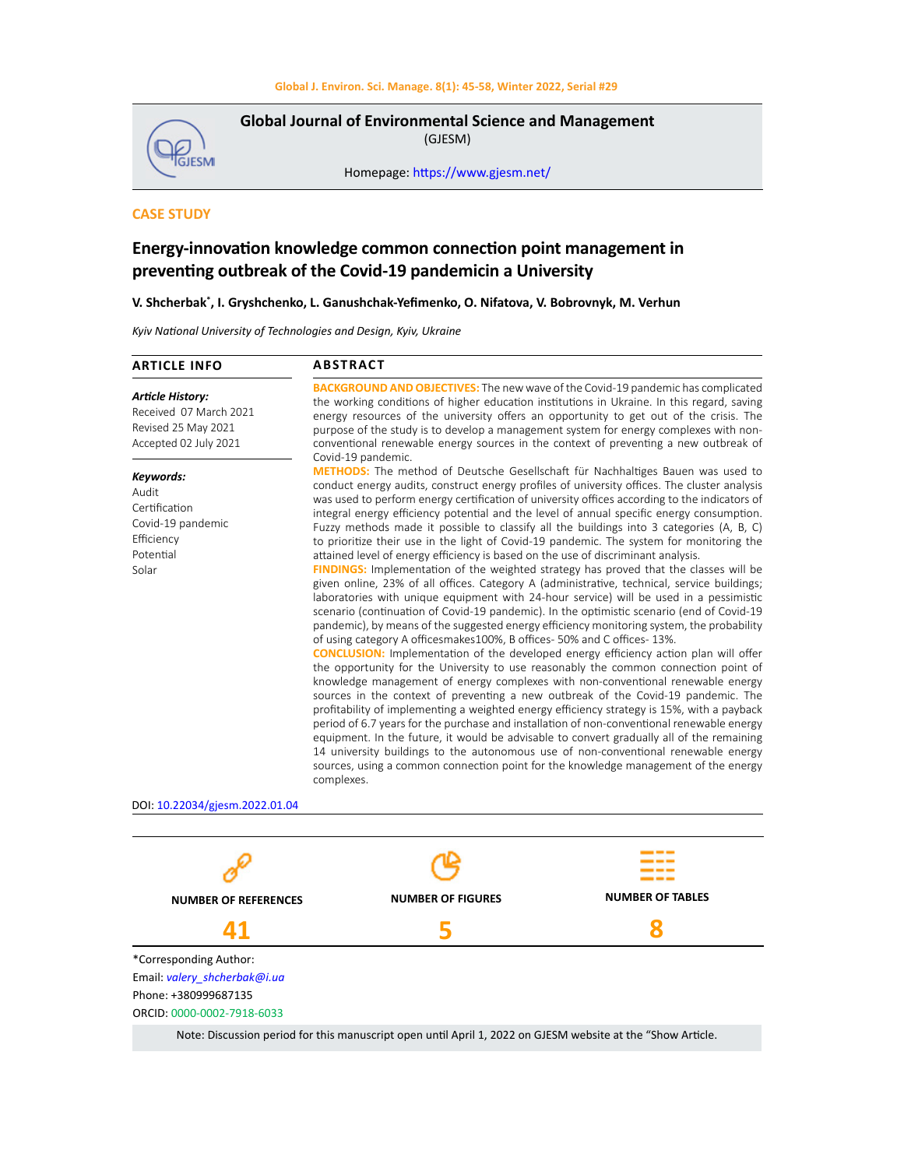

**Global Journal of Environmental Science and Management**  (GJESM)

Homepage: [https://www.gjesm.net/](https://www.gjesm.net/ )

## **CASE STUDY**

# **Energy-innovation knowledge common connection point management in preventing outbreak of the Covid-19 pandemicin a University**

## **V. Shcherbak\* , I. Gryshchenko, L. Ganushchak-Yefimenko, O. Nifatova, V. Bobrovnyk, M. Verhun**

*Kyiv National University of Technologies and Design, Kyiv, Ukraine*

| <b>ARTICLE INFO</b>                                                                               | <b>ABSTRACT</b>                                                                                                                                                                                                                                                                                                                                                                                                                                                                                                                                                                                                                                                                                                                                                                                                                                                                                                                                                                                                                                                                                                                                                                                                                                                                                                                                                                                                                                                                                                                                                                                                                                                                                                                                                                                                                                                                                                                                                                                                                                                              |
|---------------------------------------------------------------------------------------------------|------------------------------------------------------------------------------------------------------------------------------------------------------------------------------------------------------------------------------------------------------------------------------------------------------------------------------------------------------------------------------------------------------------------------------------------------------------------------------------------------------------------------------------------------------------------------------------------------------------------------------------------------------------------------------------------------------------------------------------------------------------------------------------------------------------------------------------------------------------------------------------------------------------------------------------------------------------------------------------------------------------------------------------------------------------------------------------------------------------------------------------------------------------------------------------------------------------------------------------------------------------------------------------------------------------------------------------------------------------------------------------------------------------------------------------------------------------------------------------------------------------------------------------------------------------------------------------------------------------------------------------------------------------------------------------------------------------------------------------------------------------------------------------------------------------------------------------------------------------------------------------------------------------------------------------------------------------------------------------------------------------------------------------------------------------------------------|
| <b>Article History:</b><br>Received 07 March 2021<br>Revised 25 May 2021<br>Accepted 02 July 2021 | <b>BACKGROUND AND OBJECTIVES:</b> The new wave of the Covid-19 pandemic has complicated<br>the working conditions of higher education institutions in Ukraine. In this regard, saving<br>energy resources of the university offers an opportunity to get out of the crisis. The<br>purpose of the study is to develop a management system for energy complexes with non-<br>conventional renewable energy sources in the context of preventing a new outbreak of<br>Covid-19 pandemic.                                                                                                                                                                                                                                                                                                                                                                                                                                                                                                                                                                                                                                                                                                                                                                                                                                                                                                                                                                                                                                                                                                                                                                                                                                                                                                                                                                                                                                                                                                                                                                                       |
| Keywords:<br>Audit<br>Certification<br>Covid-19 pandemic<br>Efficiency<br>Potential<br>Solar      | <b>METHODS:</b> The method of Deutsche Gesellschaft für Nachhaltiges Bauen was used to<br>conduct energy audits, construct energy profiles of university offices. The cluster analysis<br>was used to perform energy certification of university offices according to the indicators of<br>integral energy efficiency potential and the level of annual specific energy consumption.<br>Fuzzy methods made it possible to classify all the buildings into 3 categories (A, B, C)<br>to prioritize their use in the light of Covid-19 pandemic. The system for monitoring the<br>attained level of energy efficiency is based on the use of discriminant analysis.<br>FINDINGS: Implementation of the weighted strategy has proved that the classes will be<br>given online, 23% of all offices. Category A (administrative, technical, service buildings;<br>laboratories with unique equipment with 24-hour service) will be used in a pessimistic<br>scenario (continuation of Covid-19 pandemic). In the optimistic scenario (end of Covid-19<br>pandemic), by means of the suggested energy efficiency monitoring system, the probability<br>of using category A officesmakes 100%, B offices- 50% and C offices- 13%.<br><b>CONCLUSION:</b> Implementation of the developed energy efficiency action plan will offer<br>the opportunity for the University to use reasonably the common connection point of<br>knowledge management of energy complexes with non-conventional renewable energy<br>sources in the context of preventing a new outbreak of the Covid-19 pandemic. The<br>profitability of implementing a weighted energy efficiency strategy is 15%, with a payback<br>period of 6.7 years for the purchase and installation of non-conventional renewable energy<br>equipment. In the future, it would be advisable to convert gradually all of the remaining<br>14 university buildings to the autonomous use of non-conventional renewable energy<br>sources, using a common connection point for the knowledge management of the energy<br>complexes. |
| DOI: 10.22034/gjesm.2022.01.04                                                                    |                                                                                                                                                                                                                                                                                                                                                                                                                                                                                                                                                                                                                                                                                                                                                                                                                                                                                                                                                                                                                                                                                                                                                                                                                                                                                                                                                                                                                                                                                                                                                                                                                                                                                                                                                                                                                                                                                                                                                                                                                                                                              |
|                                                                                                   |                                                                                                                                                                                                                                                                                                                                                                                                                                                                                                                                                                                                                                                                                                                                                                                                                                                                                                                                                                                                                                                                                                                                                                                                                                                                                                                                                                                                                                                                                                                                                                                                                                                                                                                                                                                                                                                                                                                                                                                                                                                                              |

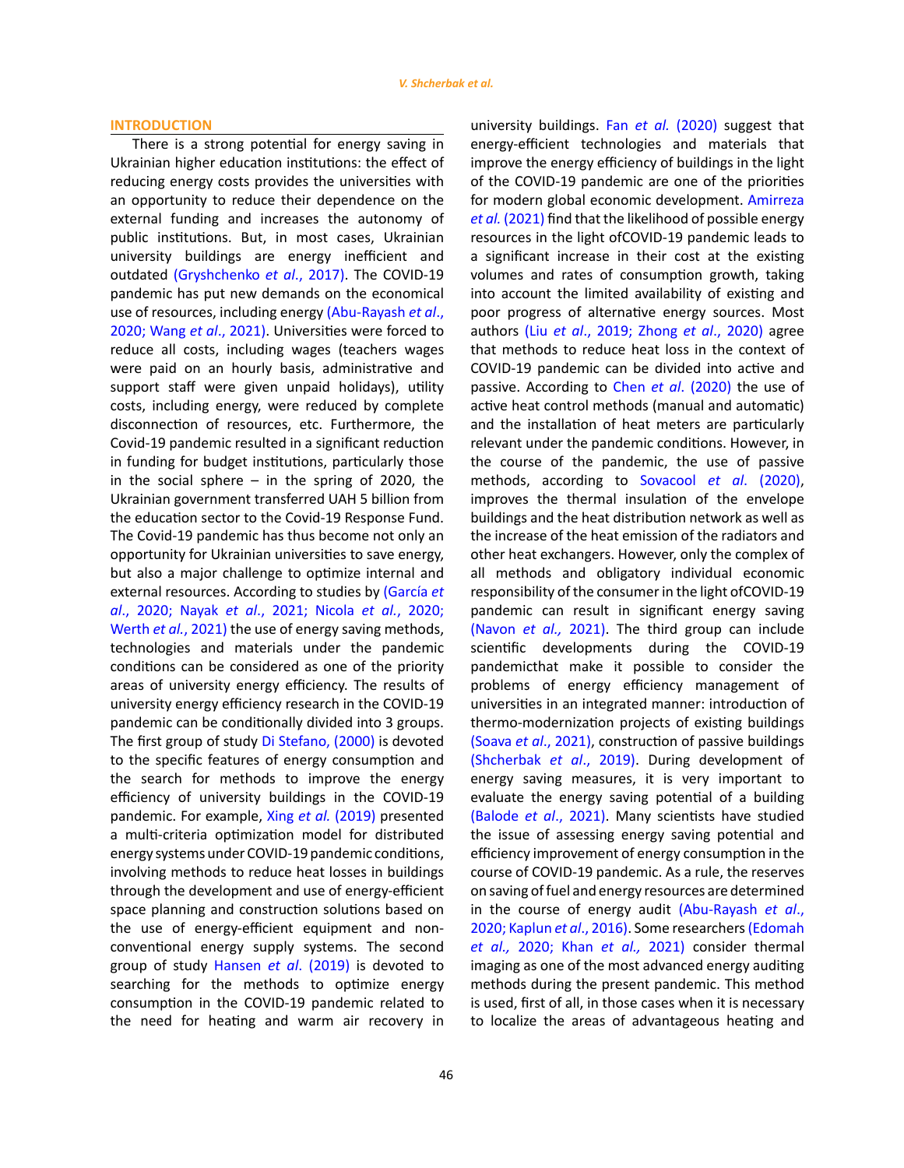#### **INTRODUCTION**

There is a strong potential for energy saving in Ukrainian higher education institutions: the effect of reducing energy costs provides the universities with an opportunity to reduce their dependence on the external funding and increases the autonomy of public institutions. But, in most cases, Ukrainian university buildings are energy inefficient and outdated [\(Gryshchenko](#page-12-0) *et al*., 2017). The COVID-19 pandemic has put new demands on the economical use of resources, including energy [\(Abu-Rayash](#page-12-0) *et al*., [2020; Wang](#page-12-0) *et al*., 2021). Universities were forced to reduce all costs, including wages (teachers wages were paid on an hourly basis, administrative and support staff were given unpaid holidays), utility costs, including energy, were reduced by complete disconnection of resources, etc. Furthermore, the Covid-19 pandemic resulted in a significant reduction in funding for budget institutions, particularly those in the social sphere  $-$  in the spring of 2020, the Ukrainian government transferred UAH 5 billion from the education sector to the Covid-19 Response Fund. The Covid-19 pandemic has thus become not only an opportunity for Ukrainian universities to save energy, but also a major challenge to optimize internal and external resources. According to studies by [\(García](#page-12-0) *et al*., 2020; Nayak *et al*[., 2021; Nicola](#page-12-0) *et al.*, 2020; [Werth](#page-12-0) *et al.*, 2021) the use of energy saving methods, technologies and materials under the pandemic conditions can be considered as one of the priority areas of university energy efficiency. The results of university energy efficiency research in the COVID-19 pandemic can be conditionally divided into 3 groups. The first group of study [Di Stefano, \(2000\)](#page-12-0) is devoted to the specific features of energy consumption and the search for methods to improve the energy efficiency of university buildings in the COVID-19 pandemic. For example, Xing *et al.* [\(2019\)](#page-12-0) presented a multi-criteria optimization model for distributed energy systems under COVID-19 pandemic conditions, involving methods to reduce heat losses in buildings through the development and use of energy-efficient space planning and construction solutions based on the use of energy-efficient equipment and nonconventional energy supply systems. The second group of study Hansen *et al*[. \(2019\)](#page-12-0) is devoted to searching for the methods to optimize energy consumption in the COVID-19 pandemic related to the need for heating and warm air recovery in university buildings. Fan *et al.* [\(2020\)](#page-12-0) suggest that energy-efficient technologies and materials that improve the energy efficiency of buildings in the light of the COVID-19 pandemic are one of the priorities for modern global economic development. [Amirreza](#page-12-0) *et al.* [\(2021\)](#page-12-0) find that the likelihood of possible energy resources in the light ofCOVID-19 pandemic leads to a significant increase in their cost at the existing volumes and rates of consumption growth, taking into account the limited availability of existing and poor progress of alternative energy sources. Most authors (Liu *et al*[., 2019; Zhong](#page-12-0) *et al*., 2020) agree that methods to reduce heat loss in the context of COVID-19 pandemic can be divided into active and passive. According to Chen *et al*[. \(2020\)](#page-12-0) the use of active heat control methods (manual and automatic) and the installation of heat meters are particularly relevant under the pandemic conditions. However, in the course of the pandemic, the use of passive methods, according to [Sovacool](#page-12-0) *et al*. (2020), improves the thermal insulation of the envelope buildings and the heat distribution network as well as the increase of the heat emission of the radiators and other heat exchangers. However, only the complex of all methods and obligatory individual economic responsibility of the consumer in the light ofCOVID-19 pandemic can result in significant energy saving [\(Navon](#page-12-0) *et al.,* 2021). The third group can include scientific developments during the COVID-19 pandemicthat make it possible to consider the problems of energy efficiency management of universities in an integrated manner: introduction of thermo-modernization projects of existing buildings (Soava *et al*[., 2021\)](#page-12-0), construction of passive buildings [\(Shcherbak](#page-12-0) *et al*., 2019). During development of energy saving measures, it is very important to evaluate the energy saving potential of a building [\(Balode](#page-12-0) *et al*., 2021). Many scientists have studied the issue of assessing energy saving potential and efficiency improvement of energy consumption in the course of COVID-19 pandemic. As a rule, the reserves on saving of fuel and energy resources are determined in the course of energy audit [\(Abu-Rayash](#page-12-0) *et al*., [2020; Kaplun](#page-12-0) *et al*., 2016). Some researchers [\(Edomah](#page-12-0) *et al.,* [2020; Khan](#page-12-0) *et al.,* 2021) consider thermal imaging as one of the most advanced energy auditing methods during the present pandemic. This method is used, first of all, in those cases when it is necessary to localize the areas of advantageous heating and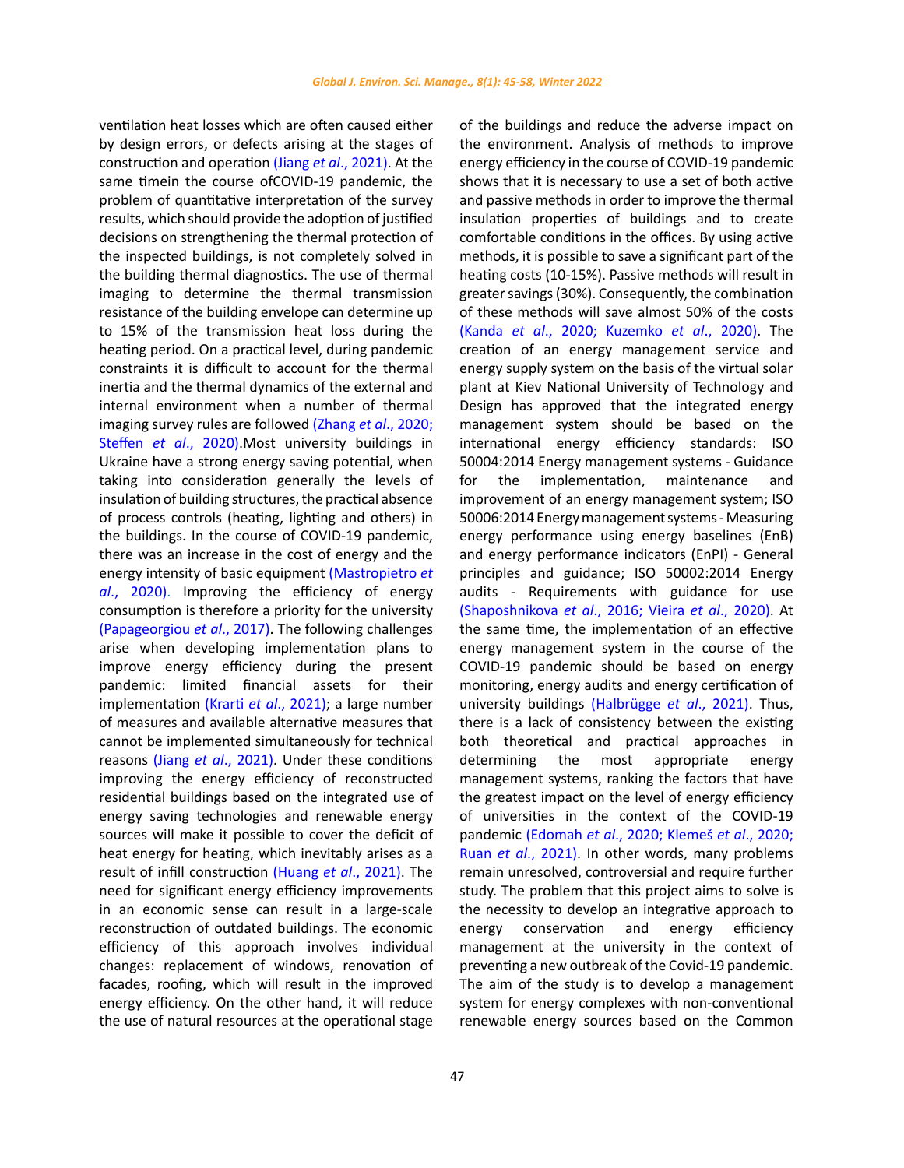ventilation heat losses which are often caused either by design errors, or defects arising at the stages of construction and operation (Jiang *et al*[., 2021\)](#page-12-0). At the same timein the course ofCOVID-19 pandemic, the problem of quantitative interpretation of the survey results, which should provide the adoption of justified decisions on strengthening the thermal protection of the inspected buildings, is not completely solved in the building thermal diagnostics. The use of thermal imaging to determine the thermal transmission resistance of the building envelope can determine up to 15% of the transmission heat loss during the heating period. On a practical level, during pandemic constraints it is difficult to account for the thermal inertia and the thermal dynamics of the external and internal environment when a number of thermal imaging survey rules are followed (Zhang *et al*[., 2020;](#page-12-0)  Steffen *et al*[., 2020\).](#page-12-0)Most university buildings in Ukraine have a strong energy saving potential, when taking into consideration generally the levels of insulation of building structures, the practical absence of process controls (heating, lighting and others) in the buildings. In the course of COVID-19 pandemic, there was an increase in the cost of energy and the energy intensity of basic equipment [\(Mastropietro](#page-12-0) *et al*[., 2020\)](#page-12-0). Improving the efficiency of energy consumption is therefore a priority for the university [\(Papageorgiou](#page-12-0) *et al*., 2017). The following challenges arise when developing implementation plans to improve energy efficiency during the present pandemic: limited financial assets for their implementation (Krarti *et al*[., 2021\);](#page-12-0) a large number of measures and available alternative measures that cannot be implemented simultaneously for technical reasons (Jiang *et al*[., 2021\).](#page-12-0) Under these conditions improving the energy efficiency of reconstructed residential buildings based on the integrated use of energy saving technologies and renewable energy sources will make it possible to cover the deficit of heat energy for heating, which inevitably arises as a result of infill construction (Huang *et al*[., 2021\).](#page-12-0) The need for significant energy efficiency improvements in an economic sense can result in a large-scale reconstruction of outdated buildings. The economic efficiency of this approach involves individual changes: replacement of windows, renovation of facades, roofing, which will result in the improved energy efficiency. On the other hand, it will reduce the use of natural resources at the operational stage

47

of the buildings and reduce the adverse impact on the environment. Analysis of methods to improve energy efficiency in the course of COVID-19 pandemic shows that it is necessary to use a set of both active and passive methods in order to improve the thermal insulation properties of buildings and to create comfortable conditions in the offices. By using active methods, it is possible to save a significant part of the heating costs (10-15%). Passive methods will result in greater savings (30%). Consequently, the combination of these methods will save almost 50% of the costs (Kanda *et al*[., 2020; Kuzemko](#page-12-0) *et al*., 2020). The creation of an energy management service and energy supply system on the basis of the virtual solar plant at Kiev National University of Technology and Design has approved that the integrated energy management system should be based on the international energy efficiency standards: ISO 50004:2014 Energy management systems - Guidance for the implementation, maintenance and improvement of an energy management system; ISO 50006:2014 Energy management systems - Measuring energy performance using energy baselines (EnB) and energy performance indicators (EnPI) - General principles and guidance; ISO 50002:2014 Energy audits - Requirements with guidance for use [\(Shaposhnikova](#page-12-0) *et al*., 2016; Vieira *et al*., 2020). At the same time, the implementation of an effective energy management system in the course of the COVID-19 pandemic should be based on energy monitoring, energy audits and energy certification of university buildings [\(Halbrügge](#page-12-0) *et al*., 2021). Thus, there is a lack of consistency between the existing both theoretical and practical approaches in determining the most appropriate energy management systems, ranking the factors that have the greatest impact on the level of energy efficiency of universities in the context of the COVID-19 pandemic (Edomah *et al*[., 2020; Klemeš](#page-12-0) *et al*., 2020; Ruan *et al*[., 2021\)](#page-12-0). In other words, many problems remain unresolved, controversial and require further study. The problem that this project aims to solve is the necessity to develop an integrative approach to energy conservation and energy efficiency management at the university in the context of preventing a new outbreak of the Covid-19 pandemic. The aim of the study is to develop a management system for energy complexes with non-conventional renewable energy sources based on the Common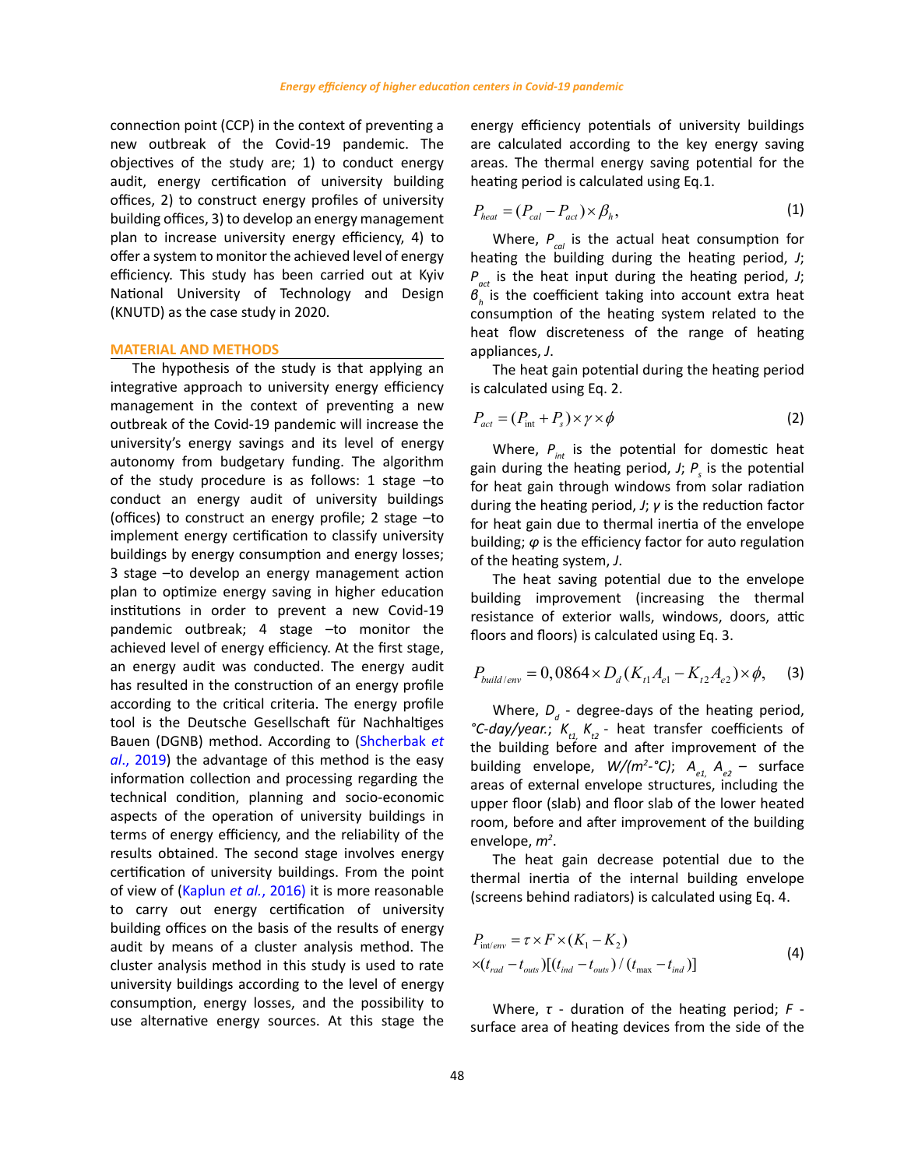connection point (ССР) in the context of preventing a new outbreak of the Covid-19 pandemic. The objectives of the study are; 1) to conduct energy audit, energy certification of university building offices, 2) to construct energy profiles of university building offices, 3) to develop an energy management plan to increase university energy efficiency, 4) to offer a system to monitor the achieved level of energy efficiency. This study has been carried out at Kyiv National University of Technology and Design (KNUTD) as the case study in 2020.

## **MATERIAL AND METHODS**

The hypothesis of the study is that applying an integrative approach to university energy efficiency management in the context of preventing a new outbreak of the Covid-19 pandemic will increase the university's energy savings and its level of energy autonomy from budgetary funding. The algorithm of the study procedure is as follows: 1 stage –to conduct an energy audit of university buildings (offices) to construct an energy profile; 2 stage –to implement energy certification to classify university buildings by energy consumption and energy losses; 3 stage –to develop an energy management action plan to optimize energy saving in higher education institutions in order to prevent a new Covid-19 pandemic outbreak; 4 stage –to monitor the achieved level of energy efficiency. At the first stage, an energy audit was conducted. The energy audit has resulted in the construction of an energy profile according to the critical criteria. The energy profile tool is the Deutsche Gesellschaft für Nachhaltiges Bauen (DGNB) method. According to [\(Shcherbak](#page-12-0) *et al*[., 2019\)](#page-12-0) the advantage of this method is the easy information collection and processing regarding the technical condition, planning and socio-economic aspects of the operation of university buildings in terms of energy efficiency, and the reliability of the results obtained. The second stage involves energy certification of university buildings. From the point of view of ([Kaplun](#page-12-0) *et al.*, 2016) it is more reasonable to carry out energy certification of university building offices on the basis of the results of energy audit by means of a cluster analysis method. The cluster analysis method in this study is used to rate university buildings according to the level of energy consumption, energy losses, and the possibility to use alternative energy sources. At this stage the energy efficiency potentials of university buildings are calculated according to the key energy saving areas. The thermal energy saving potential for the heating period is calculated using Eq.1.

$$
P_{heat} = (P_{cal} - P_{act}) \times \beta_h, \qquad (1)
$$

Where,  $P_{col}$  is the actual heat consumption for heating the building during the heating period, *J*; *Pact* is the heat input during the heating period, *J*; *βh* is the coefficient taking into account extra heat consumption of the heating system related to the heat flow discreteness of the range of heating appliances, *J*.

The heat gain potential during the heating period is calculated using Eq. 2.

$$
P_{act} = (P_{int} + P_s) \times \gamma \times \phi \tag{2}
$$

Where,  $P_{int}$  is the potential for domestic heat gain during the heating period, *J*;  $P_s$  is the potential for heat gain through windows from solar radiation during the heating period, *J*; *γ* is the reduction factor for heat gain due to thermal inertia of the envelope building; *φ* is the efficiency factor for auto regulation of the heating system, *J*.

The heat saving potential due to the envelope building improvement (increasing the thermal resistance of exterior walls, windows, doors, attic floors and floors) is calculated using Eq. 3.

$$
P_{build/env} = 0,0864 \times D_d(K_{t1}A_{e1} - K_{t2}A_{e2}) \times \phi, \quad (3)
$$

Where,  $D_d$  - degree-days of the heating period, °C-day/year.;  $K_{t1}$ ,  $K_{t2}$  - heat transfer coefficients of the building before and after improvement of the building envelope,  $W/(m^2 \cdot {}^{\circ}C)$ ;  $A_{e1} A_{e2} -$  surface areas of external envelope structures, including the upper floor (slab) and floor slab of the lower heated room, before and after improvement of the building envelope, *m2* .

The heat gain decrease potential due to the thermal inertia of the internal building envelope (screens behind radiators) is calculated using Eq. 4.

$$
P_{\text{int}/\text{env}} = \tau \times F \times (K_1 - K_2)
$$
  
 
$$
\times (t_{rad} - t_{\text{out}}) [(t_{ind} - t_{\text{out}}) / (t_{\text{max}} - t_{\text{ind}})]
$$
 (4)

Where, *τ* - duration of the heating period; *F* surface area of heating devices from the side of the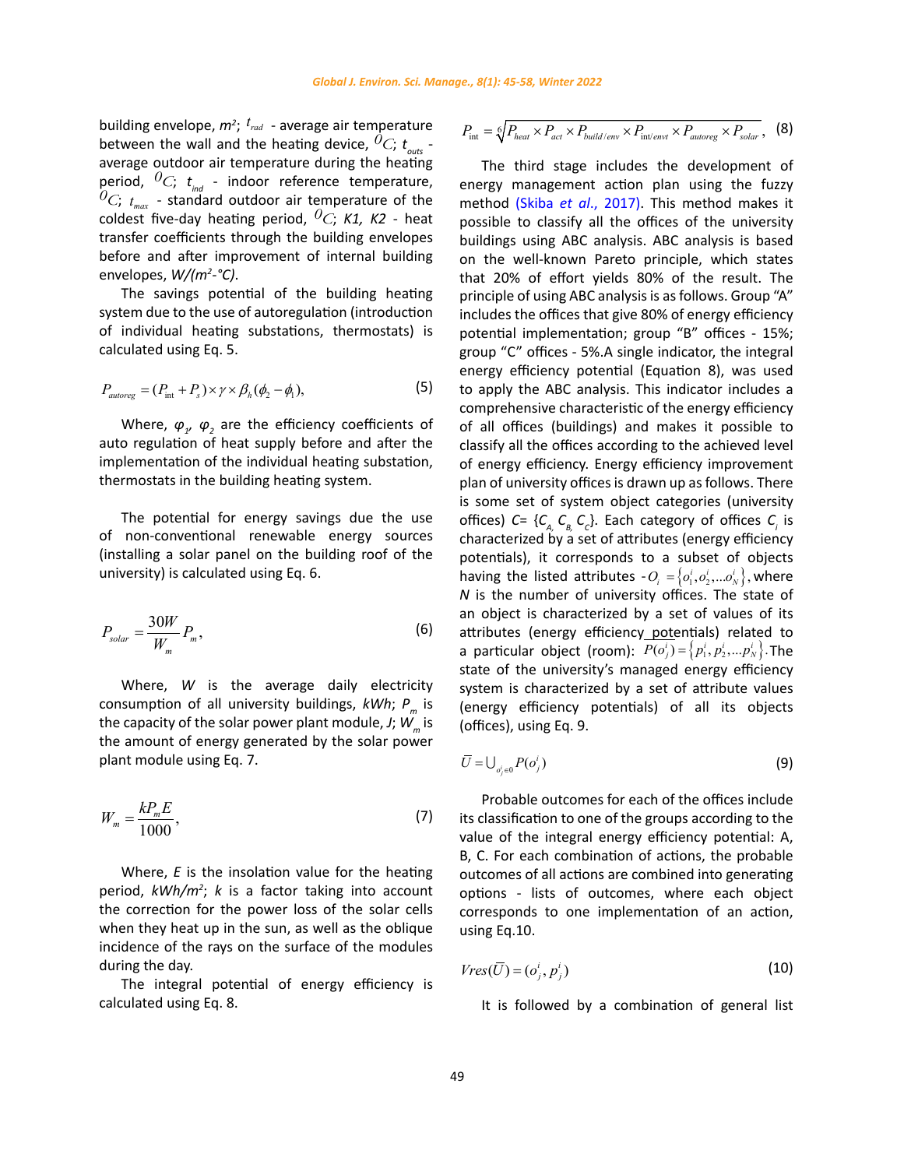building envelope,  $m^2$ ;  $t_{rad}$  - average air temperature between the wall and the heating device,  ${}^0C$ ;  $t_{\text{outers}}$  average outdoor air temperature during the heating period,  ${}^0C$ ;  $t_{ind}$  - indoor reference temperature,  ${}^{0}C$ ;  $t_{max}$  - standard outdoor air temperature of the coldest five-day heating period, *0С*; *K1, K2* - heat transfer coefficients through the building envelopes before and after improvement of internal building envelopes, *W/(m2 -°C)*.

The savings potential of the building heating system due to the use of autoregulation (introduction of individual heating substations, thermostats) is calculated using Eq. 5.

$$
P_{autoreg} = (P_{int} + P_s) \times \gamma \times \beta_h (\phi_2 - \phi_1),
$$
\n(5)

Where,  $\varphi_{1'}$   $\varphi_{2}$  are the efficiency coefficients of auto regulation of heat supply before and after the implementation of the individual heating substation, thermostats in the building heating system.

The potential for energy savings due the use of non-conventional renewable energy sources (installing a solar panel on the building roof of the university) is calculated using Eq. 6.

$$
P_{solar} = \frac{30W}{W_m} P_m,
$$
\n(6)

Where, *W* is the average daily electricity consumption of all university buildings, *kWh*; *Pm* is the capacity of the solar power plant module,  $J$ ;  $W_{m}$  is the amount of energy generated by the solar power plant module using Eq. 7.

$$
W_m = \frac{k P_m E}{1000},\tag{7}
$$

Where, *E* is the insolation value for the heating period, *kWh/m2* ; *k* is a factor taking into account the correction for the power loss of the solar cells when they heat up in the sun, as well as the oblique incidence of the rays on the surface of the modules during the day.

The integral potential of energy efficiency is calculated using Eq. 8.

$$
P_{\text{int}} = \sqrt[6]{P_{heat} \times P_{act} \times P_{build/env} \times P_{\text{int/env1}} \times P_{autoreg} \times P_{solar}},
$$
 (8)

The third stage includes the development of energy management action plan using the fuzzy method (Skiba *et al*[., 2017\).](#page-12-0) This method makes it possible to classify all the offices of the university buildings using ABC analysis. ABC analysis is based on the well-known Pareto principle, which states that 20% of effort yields 80% of the result. The principle of using ABC analysis is as follows. Group "A" includes the offices that give 80% of energy efficiency potential implementation; group "B" offices - 15%; group "C" offices - 5%.A single indicator, the integral energy efficiency potential (Equation 8), was used to apply the ABC analysis. This indicator includes a comprehensive characteristic of the energy efficiency of all offices (buildings) and makes it possible to classify all the offices according to the achieved level of energy efficiency. Energy efficiency improvement plan of university offices is drawn up as follows. There is some set of system object categories (university offices) *C*= {*C<sub>A,</sub> C<sub>B</sub>, C<sub>c</sub>}.* Each category of offices *C<sub>i</sub>* is characterized by a set of attributes (energy efficiency potentials), it corresponds to a subset of objects having the listed attributes  $-0 = \{o_1^i, o_2^i, \ldots, o_N^i\}$ , where *N* is the number of university offices. The state of an object is characterized by a set of values of its attributes (energy efficiency potentials) related to a particular object (room):  $P(o_i^i) = \{ p_1^i, p_2^i, \ldots, p_N^i \}$ . The state of the university's managed energy efficiency system is characterized by a set of attribute values (energy efficiency potentials) of all its objects (offices), using Eq. 9.

$$
\bar{U} = \bigcup_{o'_j \in 0} P(o^i_j) \tag{9}
$$

Probable outcomes for each of the offices include its classification to one of the groups according to the value of the integral energy efficiency potential: A, B, C. For each combination of actions, the probable outcomes of all actions are combined into generating options - lists of outcomes, where each object corresponds to one implementation of an action, using Eq.10.

$$
Vres(\overline{U}) = (o_j^i, p_j^i)
$$
\n(10)

It is followed by a combination of general list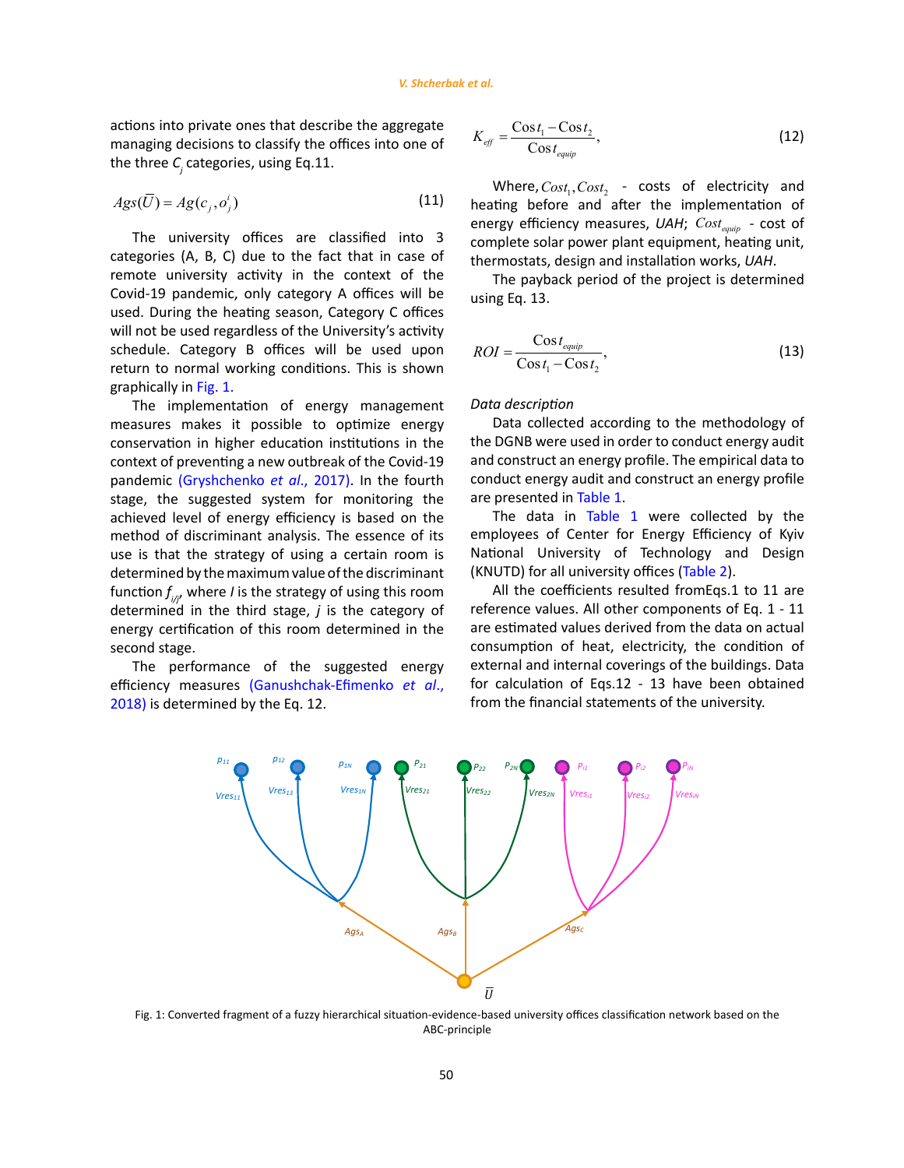<span id="page-5-0"></span>actions into private ones that describe the aggregate managing decisions to classify the offices into one of the three *C<sup>j</sup>* categories, using Eq.11.

$$
Ags(\overline{U}) = Ag(c_j, o_j^i)
$$
\n(11)

The university offices are classified into 3 categories (A, B, C) due to the fact that in case of remote university activity in the context of the Covid-19 pandemic, only category A offices will be used. During the heating season, Category C offices will not be used regardless of the University's activity schedule. Category B offices will be used upon return to normal working conditions. This is shown graphically in Fig. 1.

The implementation of energy management measures makes it possible to optimize energy conservation in higher education institutions in the context of preventing a new outbreak of the Covid-19 pandemic [\(Gryshchenko](#page-12-0) *et al*., 2017). In the fourth stage, the suggested system for monitoring the achieved level of energy efficiency is based on the method of discriminant analysis. The essence of its use is that the strategy of using a certain room is determined by the maximum value of the discriminant function *f i/j*, where *I* is the strategy of using this room determined in the third stage, *j* is the category of energy certification of this room determined in the second stage.

The performance of the suggested energy efficiency measures [\(Ganushchak-Efimenko](#page-12-0) *et al*., [2018\)](#page-12-0) is determined by the Eq. 12.

$$
K_{\text{eff}} = \frac{\cos t_1 - \cos t_2}{\cos t_{\text{equip}}},\tag{12}
$$

Where,  $Cost_1$ ,  $Cost_2$  - costs of electricity and heating before and after the implementation of energy efficiency measures, UAH; Cost<sub>equip</sub> - cost of complete solar power plant equipment, heating unit, thermostats, design and installation works, *UAH*.

The payback period of the project is determined using Eq. 13.

$$
ROI = \frac{\cos t_{equip}}{\cos t_1 - \cos t_2},\tag{13}
$$

## *Data description*

Data collected according to the methodology of the DGNB were used in order to conduct energy audit and construct an energy profile. The empirical data to conduct energy audit and construct an energy profile are presented in [Table 1.](#page-6-0)

The data in [Table 1](#page-6-0) were collected by the employees of Center for Energy Efficiency of Kyiv National University of Technology and Design (KNUTD) for all university offices [\(Table 2\)](#page-6-0).

All the coefficients resulted fromEqs.1 to 11 are reference values. All other components of Eq. 1 - 11 are estimated values derived from the data on actual consumption of heat, electricity, the condition of external and internal coverings of the buildings. Data for calculation of Eqs.12 - 13 have been obtained from the financial statements of the university.



Fig. 1: Converted fragment of a fuzzy hierarchical situation-evidence-based university offices classification network based on the ABC-principle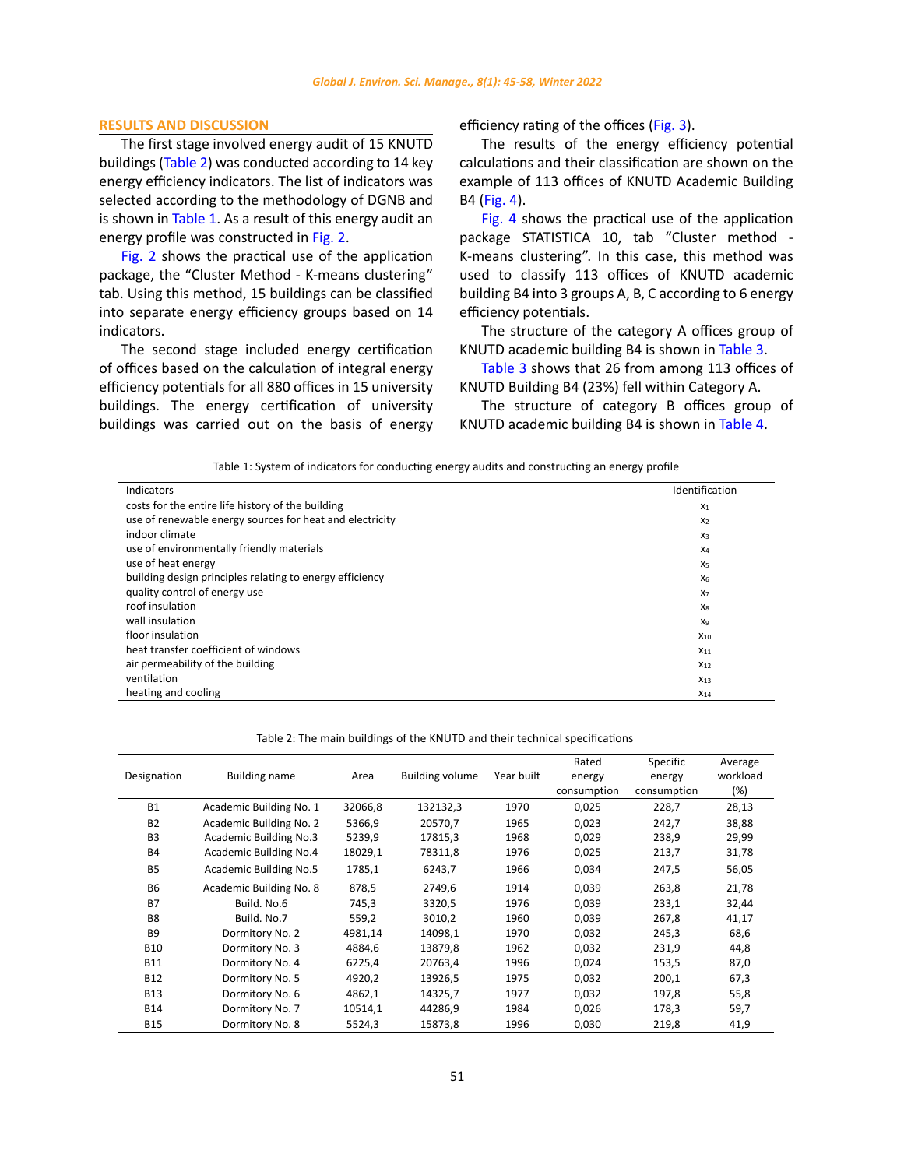## <span id="page-6-0"></span>**RESULTS AND DISCUSSION**

The first stage involved energy audit of 15 KNUTD buildings (Table 2) was conducted according to 14 key energy efficiency indicators. The list of indicators was selected according to the methodology of DGNB and is shown in [Table 1](#page-12-0). As a result of this energy audit an energy profile was constructed in [Fig. 2](#page-7-0).

[Fig. 2](#page-7-0) shows the practical use of the application package, the "Cluster Method - K-means clustering" tab. Using this method, 15 buildings can be classified into separate energy efficiency groups based on 14 indicators.

The second stage included energy certification of offices based on the calculation of integral energy efficiency potentials for all 880 offices in 15 university buildings. The energy certification of university buildings was carried out on the basis of energy efficiency rating of the offices [\(Fig. 3](#page-7-0)).

The results of the energy efficiency potential calculations and their classification are shown on the example of 113 offices of KNUTD Academic Building B4 [\(Fig. 4](#page-7-0)).

[Fig.](#page-7-0) 4 shows the practical use of the application package STATISTICA 10, tab "Cluster method - K-means clustering". In this case, this method was used to classify 113 offices of KNUTD academic building B4 into 3 groups A, B, C according to 6 energy efficiency potentials.

The structure of the category A offices group of KNUTD academic building B4 is shown in [Table 3](#page-8-0).

[Table 3](#page-8-0) shows that 26 from among 113 offices of KNUTD Building B4 (23%) fell within Category A.

The structure of category B offices group of KNUTD academic building B4 is shown in [Table](#page-8-0) 4.

Table 1: System of indicators for conducting energy audits and constructing an energy profile Table 1: System of indicators for conducting energy audits and constructing an energy profile

| Indicators                                               | Identification |
|----------------------------------------------------------|----------------|
| costs for the entire life history of the building        | X <sub>1</sub> |
| use of renewable energy sources for heat and electricity | X <sub>2</sub> |
| indoor climate                                           | $X_3$          |
| use of environmentally friendly materials                | X <sub>4</sub> |
| use of heat energy                                       | X <sub>5</sub> |
| building design principles relating to energy efficiency | X <sub>6</sub> |
| quality control of energy use                            | X <sub>7</sub> |
| roof insulation                                          | X <sub>8</sub> |
| wall insulation                                          | X9             |
| floor insulation                                         | $X_{10}$       |
| heat transfer coefficient of windows                     | $X_{11}$       |
| air permeability of the building                         | $X_{12}$       |
| ventilation                                              | $X_{13}$       |
| heating and cooling                                      | $X_{14}$       |

| Designation    | <b>Building name</b>    | Area    | <b>Building volume</b> | Year built | Rated<br>energy<br>consumption | Specific<br>energy<br>consumption | Average<br>workload<br>(%) |
|----------------|-------------------------|---------|------------------------|------------|--------------------------------|-----------------------------------|----------------------------|
| <b>B1</b>      | Academic Building No. 1 | 32066,8 | 132132,3               | 1970       | 0,025                          | 228,7                             | 28,13                      |
| <b>B2</b>      | Academic Building No. 2 | 5366,9  | 20570,7                | 1965       | 0,023                          | 242,7                             | 38,88                      |
| B <sub>3</sub> | Academic Building No.3  | 5239,9  | 17815,3                | 1968       | 0.029                          | 238,9                             | 29,99                      |
| <b>B4</b>      | Academic Building No.4  | 18029,1 | 78311,8                | 1976       | 0,025                          | 213,7                             | 31,78                      |
| <b>B5</b>      | Academic Building No.5  | 1785,1  | 6243,7                 | 1966       | 0,034                          | 247,5                             | 56,05                      |
| <b>B6</b>      | Academic Building No. 8 | 878,5   | 2749,6                 | 1914       | 0,039                          | 263,8                             | 21,78                      |
| <b>B7</b>      | Build, No.6             | 745,3   | 3320,5                 | 1976       | 0.039                          | 233,1                             | 32,44                      |
| B <sub>8</sub> | Build, No.7             | 559,2   | 3010,2                 | 1960       | 0,039                          | 267,8                             | 41,17                      |
| B <sub>9</sub> | Dormitory No. 2         | 4981,14 | 14098,1                | 1970       | 0,032                          | 245,3                             | 68,6                       |
| <b>B10</b>     | Dormitory No. 3         | 4884.6  | 13879,8                | 1962       | 0,032                          | 231,9                             | 44,8                       |
| <b>B11</b>     | Dormitory No. 4         | 6225,4  | 20763,4                | 1996       | 0,024                          | 153,5                             | 87,0                       |
| <b>B12</b>     | Dormitory No. 5         | 4920,2  | 13926,5                | 1975       | 0,032                          | 200,1                             | 67,3                       |
| <b>B13</b>     | Dormitory No. 6         | 4862,1  | 14325,7                | 1977       | 0,032                          | 197,8                             | 55,8                       |
| <b>B14</b>     | Dormitory No. 7         | 10514,1 | 44286.9                | 1984       | 0,026                          | 178,3                             | 59,7                       |
| <b>B15</b>     | Dormitory No. 8         | 5524,3  | 15873,8                | 1996       | 0,030                          | 219,8                             | 41,9                       |

Table 2: The main buildings of the KNUTD and their technical specifications Table 2: The main buildings of the KNUTD and their technical specifications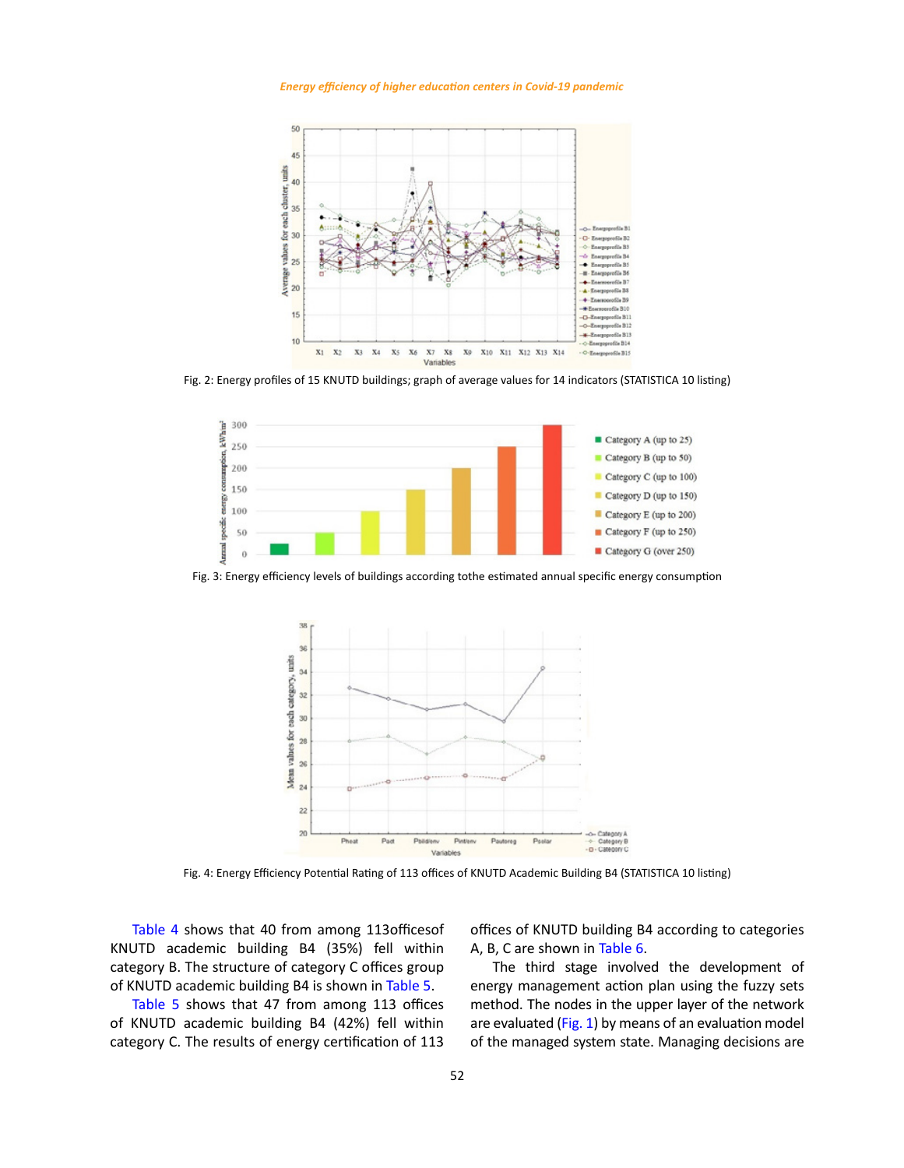<span id="page-7-0"></span>*Energy efficiency of higher education centers in Covid-19 pandemic*



Fig. 2: Energy profiles of 15 KNUTD buildings; graph of average values for 14 indicators (STATISTICA 10 listing)



Fig. 3: Energy efficiency levels of buildings according tothe estimated annual specific energy consumption



Fig. 4: Energy Efficiency Potential Rating of 113 offices of KNUTD Academic Building B4 (STATISTICA 10 listing)

[Table 4](#page-8-0) shows that 40 from among 113officesof KNUTD academic building B4 (35%) fell within category B. The structure of category C offices group of KNUTD academic building B4 is shown in [Table](#page-8-0) 5.

[Table 5](#page-8-0) shows that 47 from among 113 offices of KNUTD academic building B4 (42%) fell within category C. The results of energy certification of 113 offices of KNUTD building B4 according to categories A, B, C are shown in [Table 6.](#page-9-0)

The third stage involved the development of energy management action plan using the fuzzy sets method. The nodes in the upper layer of the network are evaluated [\(Fig. 1\)](#page-5-0) by means of an evaluation model of the managed system state. Managing decisions are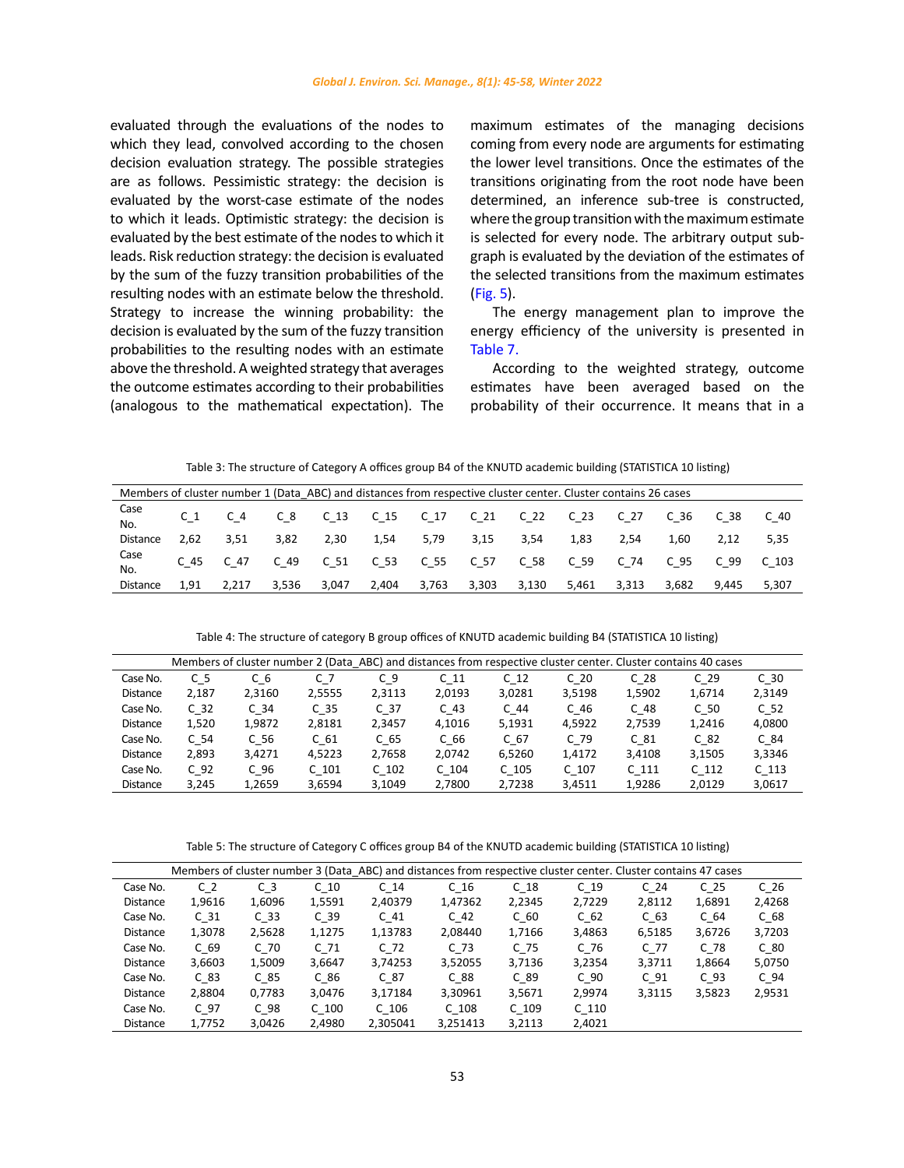<span id="page-8-0"></span>evaluated through the evaluations of the nodes to which they lead, convolved according to the chosen decision evaluation strategy. The possible strategies are as follows. Pessimistic strategy: the decision is evaluated by the worst-case estimate of the nodes to which it leads. Optimistic strategy: the decision is evaluated by the best estimate of the nodes to which it leads. Risk reduction strategy: the decision is evaluated by the sum of the fuzzy transition probabilities of the resulting nodes with an estimate below the threshold. Strategy to increase the winning probability: the decision is evaluated by the sum of the fuzzy transition probabilities to the resulting nodes with an estimate above the threshold. A weighted strategy that averages the outcome estimates according to their probabilities (analogous to the mathematical expectation). The maximum estimates of the managing decisions coming from every node are arguments for estimating the lower level transitions. Once the estimates of the transitions originating from the root node have been determined, an inference sub-tree is constructed, where the group transition with the maximum estimate is selected for every node. The arbitrary output subgraph is evaluated by the deviation of the estimates of the selected transitions from the maximum estimates ([Fig. 5](#page-9-0)).

The energy management plan to improve the energy efficiency of the university is presented in [Table 7](#page-10-0).

According to the weighted strategy, outcome estimates have been averaged based on the probability of their occurrence. It means that in a

Table 3: The structure of Category A offices group B4 of the KNUTD academic building (STATISTICA 10 listing) Table 3: The structure of Category A offices group B4 of the KNUTD academic building (STATISTICA 10 listing)

| Members of cluster number 1 (Data ABC) and distances from respective cluster center. Cluster contains 26 cases |      |           |       |       |       |       |                                                         |       |       |       |           |       |       |
|----------------------------------------------------------------------------------------------------------------|------|-----------|-------|-------|-------|-------|---------------------------------------------------------|-------|-------|-------|-----------|-------|-------|
| Case<br>No.                                                                                                    |      | $C_4$     |       |       |       |       | C 8 C 13 C 15 C 17 C 21 C 22 C 23                       |       |       | C 27  | C 36 C 38 |       | C 40  |
| Distance                                                                                                       | 2.62 | 3,51      | 3,82  | 2,30  | 1,54  | 5,79  | 3,15                                                    | 3,54  | 1,83  | 2.54  | 1,60      | 2.12  | 5.35  |
| Case<br>No.                                                                                                    |      | C 45 C 47 |       |       |       |       | C 49 C 51 C 53 C 55 C 57 C 58 C 59 C 74 C 95 C 99 C 103 |       |       |       |           |       |       |
| Distance                                                                                                       | 1.91 | 2.217     | 3.536 | 3.047 | 2.404 | 3.763 | 3,303                                                   | 3,130 | 5.461 | 3.313 | 3.682     | 9.445 | 5.307 |

Table 4: The structure of category B group offices of KNUTD academic building B4 (STATISTICA 10 listing) Table 4: The structure of category B group offices of KNUTD academic building B4 (STATISTICA 10 listing)

|                 |                 |                 |                  | Members of cluster number 2 (Data ABC) and distances from respective cluster center. Cluster contains 40 cases |                 |                  |                  |                  |                  |                  |
|-----------------|-----------------|-----------------|------------------|----------------------------------------------------------------------------------------------------------------|-----------------|------------------|------------------|------------------|------------------|------------------|
| Case No.        | C 5             | C 6             | C 7              | C 9                                                                                                            | C <sub>11</sub> | C <sub>12</sub>  | C <sub>20</sub>  | C <sub>28</sub>  | C <sub>29</sub>  | C <sub>30</sub>  |
| <b>Distance</b> | 2.187           | 2,3160          | 2,5555           | 2,3113                                                                                                         | 2,0193          | 3,0281           | 3,5198           | 1,5902           | 1,6714           | 2,3149           |
| Case No.        | C <sub>32</sub> | C <sub>34</sub> | C <sub>35</sub>  | C <sub>37</sub>                                                                                                | C <sub>43</sub> | C 44             | C 46             | C <sub>48</sub>  | C <sub>50</sub>  | C <sub>52</sub>  |
| <b>Distance</b> | 1,520           | 1.9872          | 2,8181           | 2.3457                                                                                                         | 4.1016          | 5,1931           | 4.5922           | 2,7539           | 1.2416           | 4,0800           |
| Case No.        | C <sub>54</sub> | C <sub>56</sub> | C <sub>61</sub>  | C <sub>65</sub>                                                                                                | C 66            | C <sub>67</sub>  | $C$ 79           | C <sub>81</sub>  | C <sub>82</sub>  | $C_84$           |
| <b>Distance</b> | 2.893           | 3.4271          | 4.5223           | 2,7658                                                                                                         | 2.0742          | 6.5260           | 1.4172           | 3.4108           | 3,1505           | 3,3346           |
| Case No.        | C <sub>92</sub> | C <sub>96</sub> | C <sub>101</sub> | C <sub>102</sub>                                                                                               | $C$ 104         | C <sub>105</sub> | C <sub>107</sub> | C <sub>111</sub> | C <sub>112</sub> | C <sub>113</sub> |
| <b>Distance</b> | 3.245           | 1.2659          | 3.6594           | 3.1049                                                                                                         | 2.7800          | 2.7238           | 3.4511           | 1.9286           | 2.0129           | 3,0617           |

Table 5: The structure of Category C offices group B4 of the KNUTD academic building (STATISTICA 10 listing) Table 5: The structure of Category C offices group B4 of the KNUTD academic building (STATISTICA 10 listing)

|                 |                 |                 |                  |                  | Members of cluster number 3 (Data ABC) and distances from respective cluster center. Cluster contains 47 cases |                  |                  |                 |                 |                 |
|-----------------|-----------------|-----------------|------------------|------------------|----------------------------------------------------------------------------------------------------------------|------------------|------------------|-----------------|-----------------|-----------------|
| Case No.        | C <sub>2</sub>  | CЗ              | C <sub>10</sub>  | C <sub>14</sub>  | C <sub>16</sub>                                                                                                | C <sub>18</sub>  | C <sub>19</sub>  | C <sub>24</sub> | C <sub>25</sub> | C <sub>26</sub> |
| <b>Distance</b> | 1,9616          | 1,6096          | 1,5591           | 2,40379          | 1,47362                                                                                                        | 2,2345           | 2,7229           | 2,8112          | 1,6891          | 2,4268          |
| Case No.        | C <sub>31</sub> | C <sub>33</sub> | C <sub>39</sub>  | C <sub>41</sub>  | C <sub>42</sub>                                                                                                | C <sub>60</sub>  | C <sub>62</sub>  | C <sub>63</sub> | C <sub>64</sub> | C <sub>68</sub> |
| <b>Distance</b> | 1,3078          | 2,5628          | 1,1275           | 1,13783          | 2.08440                                                                                                        | 1.7166           | 3,4863           | 6,5185          | 3,6726          | 3,7203          |
| Case No.        | C <sub>69</sub> | C <sub>70</sub> | C <sub>71</sub>  | C <sub>72</sub>  | C <sub>73</sub>                                                                                                | C 75             | C <sub>76</sub>  | C 77            | C <sub>78</sub> | C <sub>80</sub> |
| <b>Distance</b> | 3,6603          | 1,5009          | 3,6647           | 3.74253          | 3,52055                                                                                                        | 3.7136           | 3,2354           | 3,3711          | 1,8664          | 5,0750          |
| Case No.        | C <sub>83</sub> | C <sub>85</sub> | C86              | C <sub>87</sub>  | C88                                                                                                            | C <sub>89</sub>  | C <sub>90</sub>  | C <sub>91</sub> | C <sub>93</sub> | C <sub>94</sub> |
| <b>Distance</b> | 2,8804          | 0,7783          | 3,0476           | 3,17184          | 3,30961                                                                                                        | 3,5671           | 2.9974           | 3,3115          | 3,5823          | 2,9531          |
| Case No.        | C 97            | C <sub>98</sub> | C <sub>100</sub> | C <sub>106</sub> | C <sub>108</sub>                                                                                               | C <sub>109</sub> | C <sub>110</sub> |                 |                 |                 |
| <b>Distance</b> | 1.7752          | 3.0426          | 2.4980           | 2.305041         | 3.251413                                                                                                       | 3.2113           | 2.4021           |                 |                 |                 |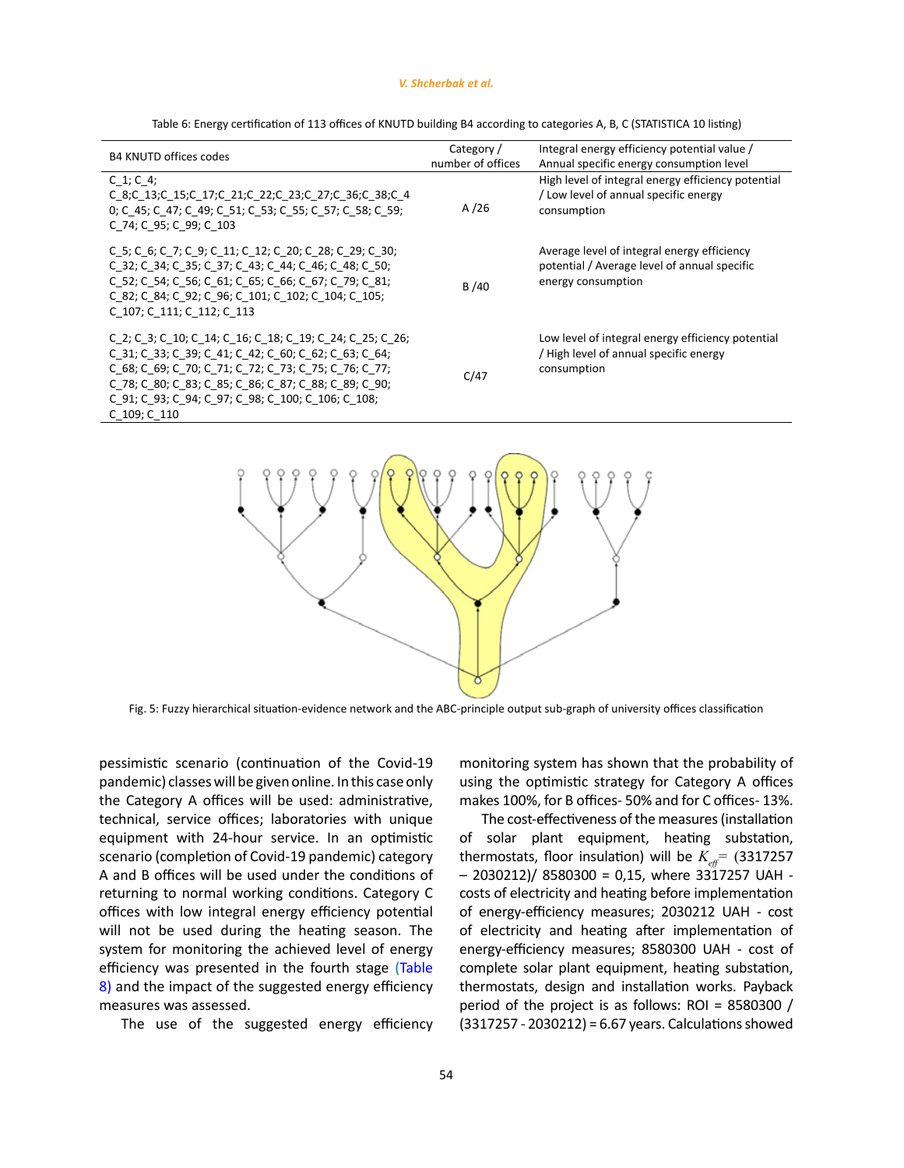#### *V. Shcherbak et al.*

<span id="page-9-0"></span>

| <b>B4 KNUTD offices codes</b>                                                                                                                                                                                                                                                                                  | Category /        | Integral energy efficiency potential value /                                                                      |
|----------------------------------------------------------------------------------------------------------------------------------------------------------------------------------------------------------------------------------------------------------------------------------------------------------------|-------------------|-------------------------------------------------------------------------------------------------------------------|
|                                                                                                                                                                                                                                                                                                                | number of offices | Annual specific energy consumption level                                                                          |
| C $1; C$ 4;<br>C 8;C 13;C 15;C 17;C 21;C 22;C 23;C 27;C 36;C 38;C 4<br>0; C 45; C 47; C 49; C 51; C 53; C 55; C 57; C 58; C 59;<br>C 74; C 95; C 99; C 103                                                                                                                                                     | A $/26$           | High level of integral energy efficiency potential<br>/ Low level of annual specific energy<br>consumption        |
| C 5; C 6; C 7; C 9; C 11; C 12; C 20; C 28; C 29; C 30;<br>C 32; C 34; C 35; C 37; C 43; C 44; C 46; C 48; C 50;<br>C 52; C 54; C 56; C 61; C 65; C 66; C 67; C 79; C 81;<br>C 82; C 84; C 92; C 96; C 101; C 102; C 104; C 105;<br>C 107; C 111; C 112; C 113                                                 | B/40              | Average level of integral energy efficiency<br>potential / Average level of annual specific<br>energy consumption |
| C 2; C 3; C 10; C 14; C 16; C 18; C 19; C 24; C 25; C 26;<br>C 31; C 33; C 39; C 41; C 42; C 60; C 62; C 63; C 64;<br>C 68; C 69; C 70; C 71; C 72; C 73; C 75; C 76; C 77;<br>C 78; C 80; C 83; C 85; C 86; C 87; C 88; C 89; C 90;<br>C 91; C 93; C 94; C 97; C 98; C 100; C 106; C 108;<br>$C$ 109; $C$ 110 | C/47              | Low level of integral energy efficiency potential<br>/ High level of annual specific energy<br>consumption        |
|                                                                                                                                                                                                                                                                                                                |                   |                                                                                                                   |

Table 6: Energy certification of 113 offices of KNUTD building B4 according to categories A, B, C (STATISTICA 10 listing)



Fig. 5: Fuzzy hierarchical situation-evidence network and the ABC-principle output sub-graph of university offices classification

pessimistic scenario (continuation of the Covid-19 pandemic) classes will be given online. In this case only the Category A offices will be used: administrative, technical, service offices; laboratories with unique equipment with 24-hour service. In an optimistic scenario (completion of Covid-19 pandemic) category A and B offices will be used under the conditions of returning to normal working conditions. Category C offices with low integral energy efficiency potential will not be used during the heating season. The system for monitoring the achieved level of energy efficiency was presented in the fourth stage ([Table](#page-10-0)  8) and the impact of the suggested energy efficiency measures was assessed.

The use of the suggested energy efficiency

monitoring system has shown that the probability of using the optimistic strategy for Category A offices makes 100%, for B offices- 50% and for C offices- 13%.

The cost-effectiveness of the measures (installation of solar plant equipment, heating substation, thermostats, floor insulation) will be  $K_{\text{eff}} = (3317257)$  $-$  2030212)/ 8580300 = 0,15, where 3317257 UAH costs of electricity and heating before implementation of energy-efficiency measures; 2030212 UAH - cost of electricity and heating after implementation of energy-efficiency measures; 8580300 UAH - cost of complete solar plant equipment, heating substation, thermostats, design and installation works. Payback period of the project is as follows: ROI = 8580300 / (3317257 - 2030212) = 6.67 years. Calculations showed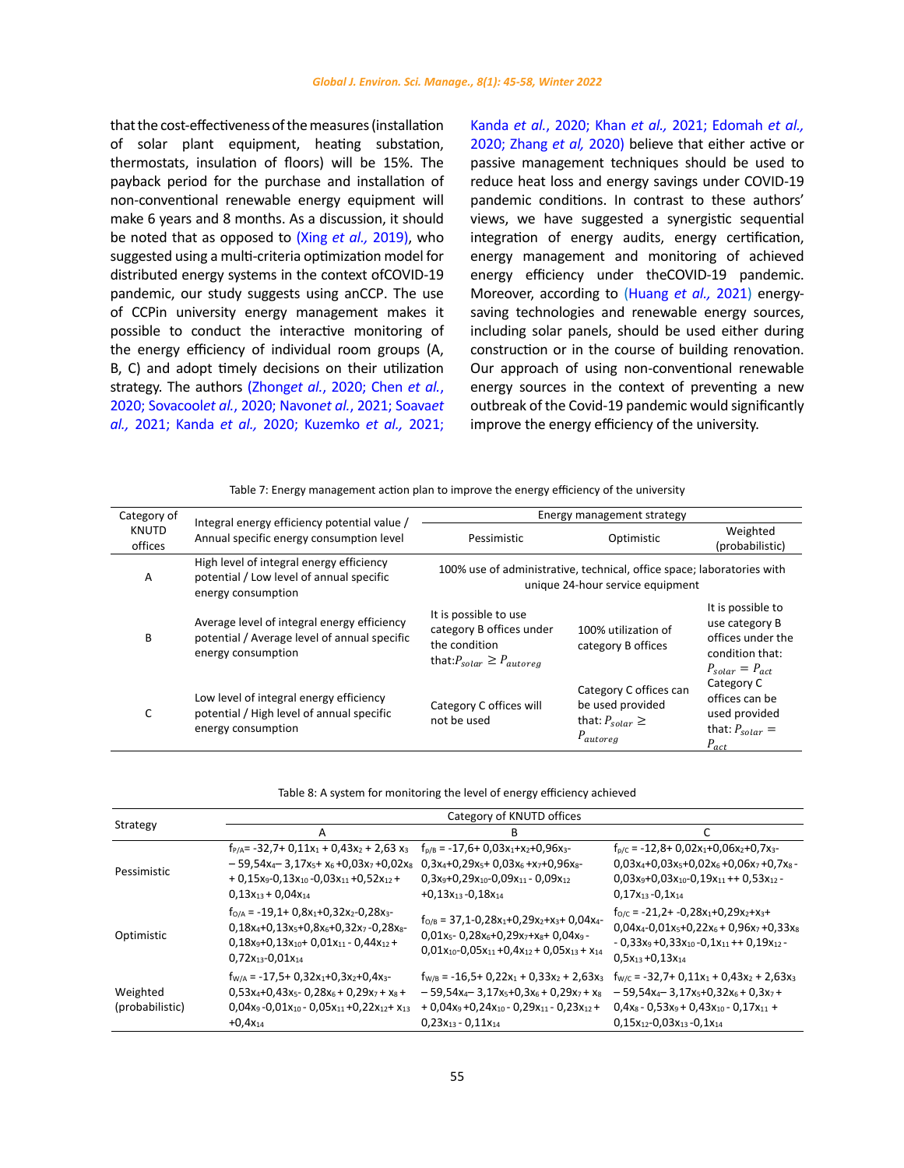<span id="page-10-0"></span>that the cost-effectiveness of the measures (installation of solar plant equipment, heating substation, thermostats, insulation of floors) will be 15%. The payback period for the purchase and installation of non-conventional renewable energy equipment will make 6 years and 8 months. As a discussion, it should be noted that as opposed to (Xing *et al.,* [2019\)](#page-12-0), who suggested using a multi-criteria optimization model for distributed energy systems in the context ofCOVID-19 pandemic, our study suggests using anССР. The use of ССРin university energy management makes it possible to conduct the interactive monitoring of the energy efficiency of individual room groups (A, B, C) and adopt timely decisions on their utilization strategy. The authors (Zhong*et al.*[, 2020; Chen](#page-12-0) *et al.*, [2020; Sovacool](#page-12-0)*et al.*, 2020; Navon*et al.*, 2021; Soava*et al.,* 2021; Kanda *et al.,* [2020; Kuzemko](#page-12-0) *et al.,* 2021; Kanda *et al.*, 2020; Khan *et al.,* [2021; Edomah](#page-12-0) *et al.,* [2020; Zhang](#page-12-0) *et al,* 2020) believe that either active or passive management techniques should be used to reduce heat loss and energy savings under COVID-19 pandemic conditions. In contrast to these authors' views, we have suggested a synergistic sequential integration of energy audits, energy certification, energy management and monitoring of achieved energy efficiency under theCOVID-19 pandemic. Moreover, according to [\(Huang](#page-12-0) *et al.,* 2021) energysaving technologies and renewable energy sources, including solar panels, should be used either during construction or in the course of building renovation. Our approach of using non-conventional renewable energy sources in the context of preventing a new outbreak of the Covid-19 pandemic would significantly improve the energy efficiency of the university.

Table 7: Energy management action plan to improve the energy efficiency of the university Table 7: Energy management action plan to improve the energy efficiency of the university

| Category of             | Integral energy efficiency potential value /                                                                      |                                                                                                          | Energy management strategy                                                                                 |                                                                                                                    |
|-------------------------|-------------------------------------------------------------------------------------------------------------------|----------------------------------------------------------------------------------------------------------|------------------------------------------------------------------------------------------------------------|--------------------------------------------------------------------------------------------------------------------|
| <b>KNUTD</b><br>offices | Annual specific energy consumption level                                                                          | Pessimistic                                                                                              | Optimistic                                                                                                 | Weighted<br>(probabilistic)                                                                                        |
| A                       | High level of integral energy efficiency<br>potential / Low level of annual specific<br>energy consumption        |                                                                                                          | 100% use of administrative, technical, office space; laboratories with<br>unique 24-hour service equipment |                                                                                                                    |
| B                       | Average level of integral energy efficiency<br>potential / Average level of annual specific<br>energy consumption | It is possible to use<br>category B offices under<br>the condition<br>that: $P_{solar} \geq P_{autorea}$ | 100% utilization of<br>category B offices                                                                  | It is possible to<br>use category B<br>offices under the<br>condition that:<br>$P_{\text{solar}} = P_{\text{act}}$ |
| C                       | Low level of integral energy efficiency<br>potential / High level of annual specific<br>energy consumption        | Category C offices will<br>not be used                                                                   | Category C offices can<br>be used provided<br>that: $P_{\text{solar}} \geq$<br>$P_{autoreg}$               | Category C<br>offices can be<br>used provided<br>that: $P_{\text{solar}} =$<br>$P_{act}$                           |

| Table 8: A system for monitoring the level of energy efficiency achieved |  |  |
|--------------------------------------------------------------------------|--|--|
|                                                                          |  |  |

|                             |                                                                                                                                                                                                                         | Category of KNUTD offices                                                                                                                                                     |                                                                                                                                                                                                                     |
|-----------------------------|-------------------------------------------------------------------------------------------------------------------------------------------------------------------------------------------------------------------------|-------------------------------------------------------------------------------------------------------------------------------------------------------------------------------|---------------------------------------------------------------------------------------------------------------------------------------------------------------------------------------------------------------------|
| Strategy                    | А                                                                                                                                                                                                                       | В                                                                                                                                                                             |                                                                                                                                                                                                                     |
| Pessimistic                 | $f_{P/A}$ = -32,7+ 0,11x <sub>1</sub> + 0,43x <sub>2</sub> + 2,63 x <sub>3</sub><br>$-59,54x_4 - 3,17x_5 + x_6 + 0,03x_7 + 0,02x_8$<br>$+0.15x_9 - 0.13x_{10} - 0.03x_{11} + 0.52x_{12} +$<br>$0,13x_{13} + 0,04x_{14}$ | $f_{p/B} = -17,6+0,03x_1+x_2+0,96x_3-$<br>$0.3x_4+0.29x_5+0.03x_6+x_7+0.96x_8-$<br>$0.3x_9+0.29x_{10}-0.09x_{11}-0.09x_{12}$<br>$+0.13x_{13} - 0.18x_{14}$                    | $f_{p/C}$ = -12,8+ 0,02x <sub>1</sub> +0,06x <sub>2</sub> +0,7x <sub>3</sub> -<br>$0.03x_4+0.03x_5+0.02x_6+0.06x_7+0.7x_8$ -<br>$0.03x_9+0.03x_{10}-0.19x_{11}++0.53x_{12}$ -<br>$0.17x_{13} - 0.1x_{14}$           |
| Optimistic                  | $f_{O/A} = -19.1 + 0.8x_1 + 0.32x_2 - 0.28x_3 -$<br>$0,18x_4+0,13x_5+0,8x_6+0,32x_7-0,28x_8-$<br>$0.18x_9+0.13x_{10}+0.01x_{11}-0.44x_{12}+$<br>$0.72x_{13} - 0.01x_{14}$                                               | $f_{O/B} = 37,1-0,28x_1+0,29x_2+x_3+0,04x_4-$<br>$0.01x_5 - 0.28x_6 + 0.29x_7 + x_8 + 0.04x_9 -$<br>$0.01x_{10} - 0.05x_{11} + 0.4x_{12} + 0.05x_{13} + x_{14}$               | $f_{O/C}$ = -21,2+ -0,28x <sub>1</sub> +0,29x <sub>2</sub> +x <sub>3</sub> +<br>$0.04x_4 - 0.01x_5 + 0.22x_6 + 0.96x_7 + 0.33x_8$<br>$-0.33x_9 + 0.33x_{10} - 0.1x_{11} + 0.19x_{12} -$<br>$0.5x_{13} + 0.13x_{14}$ |
| Weighted<br>(probabilistic) | $f_{W/A} = -17.5 + 0.32x_1 + 0.3x_2 + 0.4x_3$<br>$0.53x_4+0.43x_5-0.28x_6+0.29x_7+x_8+$<br>$0.04x_9 - 0.01x_{10} - 0.05x_{11} + 0.22x_{12} + x_{13}$<br>$+0.4x_{14}$                                                    | $f_{W/B} = -16.5 + 0.22x_1 + 0.33x_2 + 2.63x_3$<br>$-59,54x_4-3,17x_5+0,3x_6+0,29x_7+x_8$<br>$+0.04x_9 + 0.24x_{10} - 0.29x_{11} - 0.23x_{12} +$<br>$0.23x_{13} - 0.11x_{14}$ | $f_{W/C}$ = -32,7+ 0,11x <sub>1</sub> + 0,43x <sub>2</sub> + 2,63x <sub>3</sub><br>$-59,54x_4-3,17x_5+0,32x_6+0,3x_7+$<br>$0.4x_8 - 0.53x_9 + 0.43x_{10} - 0.17x_{11} +$<br>$0.15x_{12} - 0.03x_{13} - 0.1x_{14}$   |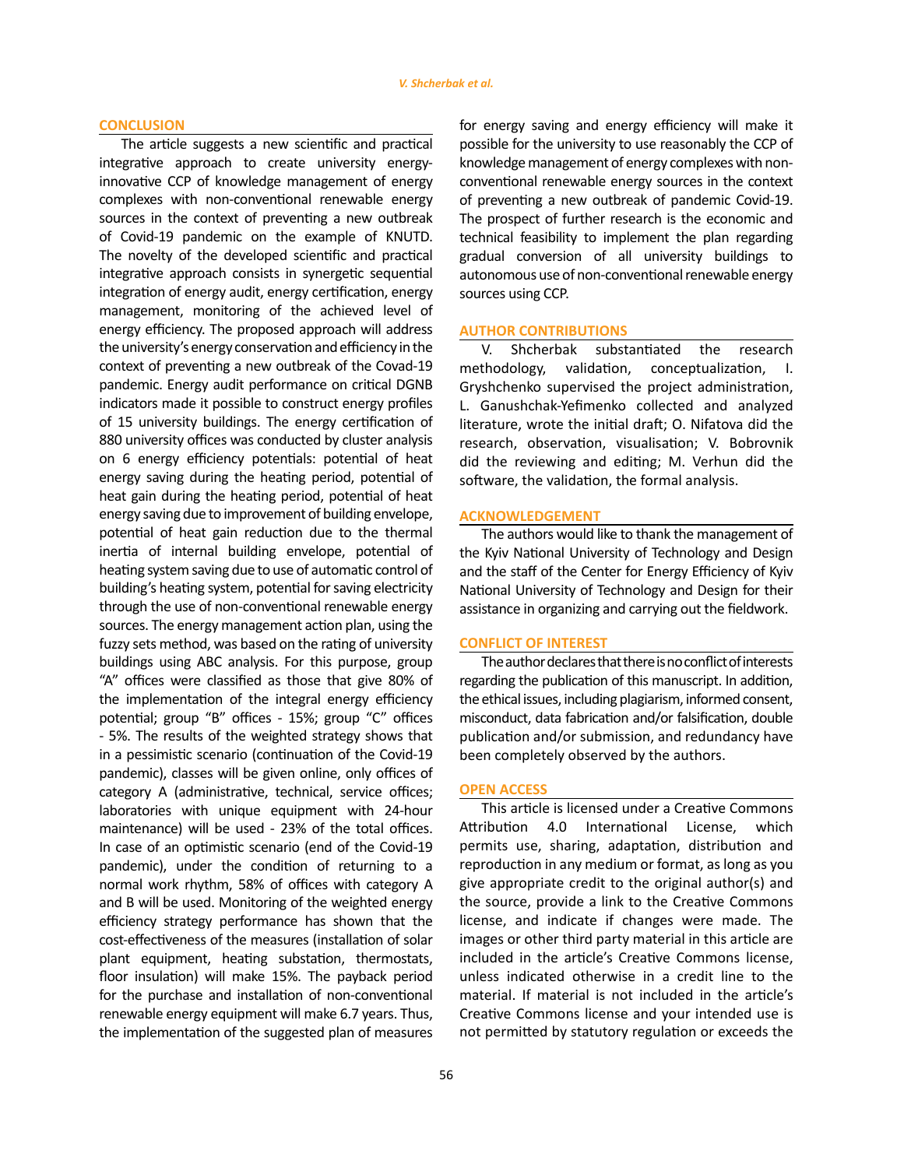## **CONCLUSION**

The article suggests a new scientific and practical integrative approach to create university energyinnovative ССР of knowledge management of energy complexes with non-conventional renewable energy sources in the context of preventing a new outbreak of Covid-19 pandemic on the example of KNUTD. The novelty of the developed scientific and practical integrative approach consists in synergetic sequential integration of energy audit, energy certification, energy management, monitoring of the achieved level of energy efficiency. The proposed approach will address the university's energy conservation and efficiency in the context of preventing a new outbreak of the Covad-19 pandemic. Energy audit performance on critical DGNB indicators made it possible to construct energy profiles of 15 university buildings. The energy certification of 880 university offices was conducted by cluster analysis on 6 energy efficiency potentials: potential of heat energy saving during the heating period, potential of heat gain during the heating period, potential of heat energy saving due to improvement of building envelope, potential of heat gain reduction due to the thermal inertia of internal building envelope, potential of heating system saving due to use of automatic control of building's heating system, potential for saving electricity through the use of non-conventional renewable energy sources. The energy management action plan, using the fuzzy sets method, was based on the rating of university buildings using ABC analysis. For this purpose, group "A" offices were classified as those that give 80% of the implementation of the integral energy efficiency potential; group "B" offices - 15%; group "C" offices - 5%. The results of the weighted strategy shows that in a pessimistic scenario (continuation of the Covid-19 pandemic), classes will be given online, only offices of category A (administrative, technical, service offices; laboratories with unique equipment with 24-hour maintenance) will be used - 23% of the total offices. In case of an optimistic scenario (end of the Covid-19 pandemic), under the condition of returning to a normal work rhythm, 58% of offices with category A and B will be used. Monitoring of the weighted energy efficiency strategy performance has shown that the cost-effectiveness of the measures (installation of solar plant equipment, heating substation, thermostats, floor insulation) will make 15%. The payback period for the purchase and installation of non-conventional renewable energy equipment will make 6.7 years. Thus, the implementation of the suggested plan of measures

for energy saving and energy efficiency will make it possible for the university to use reasonably the ССР of knowledge management of energy complexes with nonconventional renewable energy sources in the context of preventing a new outbreak of pandemic Covid-19. The prospect of further research is the economic and technical feasibility to implement the plan regarding gradual conversion of all university buildings to autonomous use of non-conventional renewable energy sources using ССР.

## **AUTHOR CONTRIBUTIONS**

V. Shcherbak substantiated the research methodology, validation, conceptualization, I. Gryshchenko supervised the project administration, L. Ganushchak-Yefimenko collected and analyzed literature, wrote the initial draft; О. Nifatova did the research, observation, visualisation; V. Bobrovnik did the reviewing and editing; M. Verhun did the software, the validation, the formal analysis.

## **ACKNOWLEDGEMENT**

The authors would like to thank the management of the Kyiv National University of Technology and Design and the staff of the Center for Energy Efficiency of Kyiv National University of Technology and Design for their assistance in organizing and carrying out the fieldwork.

### **CONFLICT OF INTEREST**

The author declares that there is no conflict of interests regarding the publication of this manuscript. In addition, the ethical issues, including plagiarism, informed consent, misconduct, data fabrication and/or falsification, double publication and/or submission, and redundancy have been completely observed by the authors.

#### **OPEN ACCESS**

This article is licensed under a Creative Commons Attribution 4.0 International License, which permits use, sharing, adaptation, distribution and reproduction in any medium or format, as long as you give appropriate credit to the original author(s) and the source, provide a link to the Creative Commons license, and indicate if changes were made. The images or other third party material in this article are included in the article's Creative Commons license, unless indicated otherwise in a credit line to the material. If material is not included in the article's Creative Commons license and your intended use is not permitted by statutory regulation or exceeds the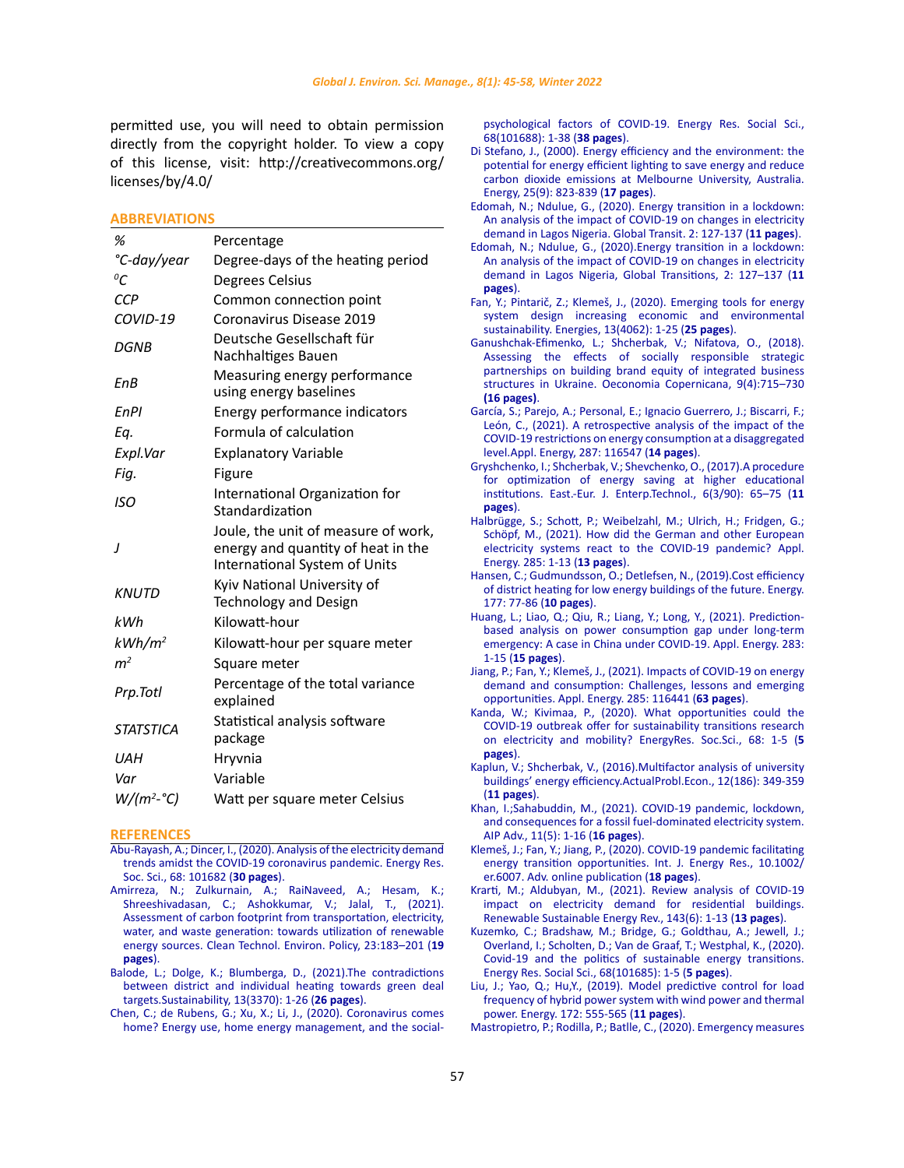<span id="page-12-0"></span>permitted use, you will need to obtain permission directly from the copyright holder. To view a copy of this license, visit: http://creativecommons.org/ licenses/by/4.0/

#### **ABBREVIATIONS**

| %                  | Percentage                                                                                                 |
|--------------------|------------------------------------------------------------------------------------------------------------|
| °C-day/year        | Degree-days of the heating period                                                                          |
| ${}^oC$            | Degrees Celsius                                                                                            |
| <b>CCP</b>         | Common connection point                                                                                    |
| COVID-19           | Coronavirus Disease 2019                                                                                   |
| DGNB               | Deutsche Gesellschaft für<br>Nachhaltiges Bauen                                                            |
| EnB                | Measuring energy performance<br>using energy baselines                                                     |
| EnPl               | Energy performance indicators                                                                              |
| Ea.                | Formula of calculation                                                                                     |
| Expl.Var           | <b>Explanatory Variable</b>                                                                                |
| Fig.               | Figure                                                                                                     |
| ISO                | International Organization for<br>Standardization                                                          |
|                    |                                                                                                            |
|                    | Joule, the unit of measure of work,<br>energy and quantity of heat in the<br>International System of Units |
| <b>KNUTD</b>       | Kyiv National University of<br>Technology and Design                                                       |
| kWh                | Kilowatt-hour                                                                                              |
| kWh/m <sup>2</sup> | Kilowatt-hour per square meter                                                                             |
| m <sup>2</sup>     | Square meter                                                                                               |
| Prp.Totl           | Percentage of the total variance<br>explained                                                              |
| <b>STATSTICA</b>   | Statistical analysis software<br>package                                                                   |
| UАН                | Hryvnia                                                                                                    |
| Var                | Variable                                                                                                   |

#### **REFERENCES**

- [Abu-Rayash, A.; Dincer, I., \(2020\). Analysis of the electricity demand](https://www.ncbi.nlm.nih.gov/pmc/articles/PMC7331303/)  [trends amidst the COVID-19 coronavirus pandemic. Energy Res.](https://www.ncbi.nlm.nih.gov/pmc/articles/PMC7331303/)  [Soc. Sci., 68: 101682 \(](https://www.ncbi.nlm.nih.gov/pmc/articles/PMC7331303/)**30 pages**).
- [Amirreza, N.; Zulkurnain, A.; RaiNaveed, A.; Hesam, K.;](https://www.researchgate.net/publication/348483485_Assessment_of_carbon_footprint_from_transportation_electricity_water_and_waste_generation_towards_utilisation_of_renewable_energy_sources/citation/download)  [Shreeshivadasan, C.; Ashokkumar, V.; Jalal, T., \(2021\).](https://www.researchgate.net/publication/348483485_Assessment_of_carbon_footprint_from_transportation_electricity_water_and_waste_generation_towards_utilisation_of_renewable_energy_sources/citation/download)  [Assessment of carbon footprint from transportation, electricity,](https://www.researchgate.net/publication/348483485_Assessment_of_carbon_footprint_from_transportation_electricity_water_and_waste_generation_towards_utilisation_of_renewable_energy_sources/citation/download)  [water, and waste generation: towards utilization of renewable](https://www.researchgate.net/publication/348483485_Assessment_of_carbon_footprint_from_transportation_electricity_water_and_waste_generation_towards_utilisation_of_renewable_energy_sources/citation/download)  [energy sources. Clean Technol. Environ. Policy, 23:183–201 \(](https://www.researchgate.net/publication/348483485_Assessment_of_carbon_footprint_from_transportation_electricity_water_and_waste_generation_towards_utilisation_of_renewable_energy_sources/citation/download)**19 [pages](https://www.researchgate.net/publication/348483485_Assessment_of_carbon_footprint_from_transportation_electricity_water_and_waste_generation_towards_utilisation_of_renewable_energy_sources/citation/download)**).
- [Balode, L.; Dolge, K.; Blumberga, D., \(2021\).The contradictions](https://www.researchgate.net/publication/350179548_The_Contradictions_between_District_and_Individual_Heating_towards_Green_Deal_Targets)  [between district and individual heating towards green deal](https://www.researchgate.net/publication/350179548_The_Contradictions_between_District_and_Individual_Heating_towards_Green_Deal_Targets)  [targets.Sustainability, 13\(3370\): 1-26 \(](https://www.researchgate.net/publication/350179548_The_Contradictions_between_District_and_Individual_Heating_towards_Green_Deal_Targets)**26 pages**).
- [Chen, C.; de Rubens, G.; Xu, X.; Li, J., \(2020\). Coronavirus comes](https://www.ncbi.nlm.nih.gov/pmc/articles/PMC7341977/)  [home? Energy use, home energy management, and the social-](https://www.ncbi.nlm.nih.gov/pmc/articles/PMC7341977/)

[psychological factors of COVID-19. Energy Res. Social Sci.,](https://www.ncbi.nlm.nih.gov/pmc/articles/PMC7341977/) [68\(101688\): 1-38 \(](https://www.ncbi.nlm.nih.gov/pmc/articles/PMC7341977/)**38 pages**).

- [Di Stefano, J., \(2000\). Energy efficiency and the environment: the](https://www.sciencedirect.com/science/article/abs/pii/S0360544200000153) [potential for energy efficient lighting to save energy and reduce](https://www.sciencedirect.com/science/article/abs/pii/S0360544200000153) [carbon dioxide emissions at Melbourne University, Australia.](https://www.sciencedirect.com/science/article/abs/pii/S0360544200000153) [Energy, 25\(9\): 823-839 \(](https://www.sciencedirect.com/science/article/abs/pii/S0360544200000153)**17 pages**).
- [Edomah, N.; Ndulue, G., \(2020\). Energy transition in a lockdown:](https://pubmed.ncbi.nlm.nih.gov/32835204/) [An analysis of the impact of COVID-19 on changes in electricity](https://pubmed.ncbi.nlm.nih.gov/32835204/) [demand in Lagos Nigeria. Global Transit. 2: 127-137 \(](https://pubmed.ncbi.nlm.nih.gov/32835204/)**11 pages**).
- [Edomah, N.; Ndulue, G., \(2020\).Energy transition in a lockdown:](https://www.sciencedirect.com/science/article/pii/S258979182030013X) [An analysis of the impact of COVID-19 on changes in electricity](https://www.sciencedirect.com/science/article/pii/S258979182030013X) [demand in Lagos Nigeria, Global Transitions, 2: 127–137 \(](https://www.sciencedirect.com/science/article/pii/S258979182030013X)**11 [pages](https://www.sciencedirect.com/science/article/pii/S258979182030013X)**).
- [Fan, Y.; Pintarič, Z.; Klemeš, J., \(2020\). Emerging tools for energy](https://www.mdpi.com/1996-1073/13/16/4062/htm) [system design increasing economic and environmental](https://www.mdpi.com/1996-1073/13/16/4062/htm) [sustainability. Energies, 13\(4062\): 1-25 \(](https://www.mdpi.com/1996-1073/13/16/4062/htm)**25 pages**).
- [Ganushchak-Efimenko, L.; Shcherbak, V.; Nifatova, O., \(2018\).](http://economic-research.pl/Journals/index.php/oc/article/view/1089) [Assessing the effects of socially responsible strategic](http://economic-research.pl/Journals/index.php/oc/article/view/1089) [partnerships on building brand equity of integrated business](http://economic-research.pl/Journals/index.php/oc/article/view/1089) [structures in Ukraine. Oeconomia Copernicana, 9\(4\):715–730](http://economic-research.pl/Journals/index.php/oc/article/view/1089) **[\(16 pages\)](http://economic-research.pl/Journals/index.php/oc/article/view/1089)**.
- [García, S.; Parejo, A.; Personal, E.; Ignacio Guerrero, J.; Biscarri, F.;](https://www.ncbi.nlm.nih.gov/pmc/articles/PMC7843085/) [León, C., \(2021\). A retrospective analysis of the impact of the](https://www.ncbi.nlm.nih.gov/pmc/articles/PMC7843085/) [COVID-19 restrictions on energy consumption at a disaggregated](https://www.ncbi.nlm.nih.gov/pmc/articles/PMC7843085/) [level.Appl. Energy, 287: 116547 \(](https://www.ncbi.nlm.nih.gov/pmc/articles/PMC7843085/)**14 pages**).
- [Gryshchenko, I.; Shcherbak, V.; Shevchenko, O., \(2017\).A procedure](http://journals.uran.ua/eejet/article/view/119083) [for optimization of energy saving at higher educational](http://journals.uran.ua/eejet/article/view/119083) [institutions. East.-Eur. J. Enterp.Technol., 6\(3/90\): 65–75 \(](http://journals.uran.ua/eejet/article/view/119083)**11 [pages](http://journals.uran.ua/eejet/article/view/119083)**).
- [Halbrügge, S.; Schott, P.; Weibelzahl, M.; Ulrich, H.; Fridgen, G.;](https://www.sciencedirect.com/science/article/pii/S0306261920317475) [Schöpf, M., \(2021\). How did the German and other European](https://www.sciencedirect.com/science/article/pii/S0306261920317475) [electricity systems react to the COVID-19 pandemic? Appl.](https://www.sciencedirect.com/science/article/pii/S0306261920317475) [Energy. 285: 1-13 \(](https://www.sciencedirect.com/science/article/pii/S0306261920317475)**13 pages**).
- [Hansen, C.; Gudmundsson, O.; Detlefsen, N., \(2019\).Cost efficiency](https://www.sciencedirect.com/science/article/pii/S036054421930670X) [of district heating for low energy buildings of the future. Energy.](https://www.sciencedirect.com/science/article/pii/S036054421930670X) [177: 77-86 \(](https://www.sciencedirect.com/science/article/pii/S036054421930670X)**10 pages**).
- [Huang, L.; Liao, Q.; Qiu, R.; Liang, Y.; Long, Y., \(2021\). Prediction](https://europepmc.org/backend/ptpmcrender.fcgi?accid=PMC7969145&blobtype=pdf)[based analysis on power consumption gap under long-term](https://europepmc.org/backend/ptpmcrender.fcgi?accid=PMC7969145&blobtype=pdf) [emergency: A case in China under COVID-19. Appl. Energy. 283:](https://europepmc.org/backend/ptpmcrender.fcgi?accid=PMC7969145&blobtype=pdf) 1-15 (**[15 pages](https://europepmc.org/backend/ptpmcrender.fcgi?accid=PMC7969145&blobtype=pdf)**).
- [Jiang, P.; Fan, Y.; Klemeš, J., \(2021\). Impacts of COVID-19 on energy](https://www.ncbi.nlm.nih.gov/pmc/articles/PMC7834155/#!po=0.793651) [demand and consumption: Challenges, lessons and emerging](https://www.ncbi.nlm.nih.gov/pmc/articles/PMC7834155/#!po=0.793651) [opportunities. Appl. Energy. 285: 116441 \(](https://www.ncbi.nlm.nih.gov/pmc/articles/PMC7834155/#!po=0.793651)**63 pages**).
- [Kanda, W.; Kivimaa, P., \(2020\). What opportunities could the](https://www.sciencedirect.com/science/article/pii/S2214629620302413) [COVID-19 outbreak offer for sustainability transitions research](https://www.sciencedirect.com/science/article/pii/S2214629620302413) [on electricity and mobility? EnergyRes. Soc.Sci., 68: 1-5 \(](https://www.sciencedirect.com/science/article/pii/S2214629620302413)**5 [pages](https://www.sciencedirect.com/science/article/pii/S2214629620302413)**).
- [Kaplun, V.; Shcherbak, V., \(2016\).Multifactor analysis of university](https://er.knutd.edu.ua/bitstream/123456789/3398/1/20161216_303.pdf) [buildings' energy efficiency.ActualProbl.Econ., 12\(186\): 349-359](https://er.knutd.edu.ua/bitstream/123456789/3398/1/20161216_303.pdf) (**[11 pages](https://er.knutd.edu.ua/bitstream/123456789/3398/1/20161216_303.pdf)**).
- [Khan, I.;Sahabuddin, M., \(2021\). COVID-19 pandemic, lockdown,](https://aip.scitation.org/doi/pdf/10.1063/5.0050551) [and consequences for a fossil fuel-dominated electricity system.](https://aip.scitation.org/doi/pdf/10.1063/5.0050551) [AIP Adv., 11\(5\): 1-16 \(](https://aip.scitation.org/doi/pdf/10.1063/5.0050551)**16 pages**).
- [Klemeš, J.; Fan, Y.; Jiang, P., \(2020\). COVID-19 pandemic facilitating](https://www.ncbi.nlm.nih.gov/pmc/articles/PMC7537069/) [energy transition opportunities. Int. J. Energy Res., 10.1002/](https://www.ncbi.nlm.nih.gov/pmc/articles/PMC7537069/) [er.6007. Adv. online publication \(](https://www.ncbi.nlm.nih.gov/pmc/articles/PMC7537069/)**18 pages**).
- [Krarti, M.; Aldubyan, M., \(2021\). Review analysis of COVID-19](https://reader.elsevier.com/reader/sd/pii/S1364032121001829?token=08D4BD7B2FD7C78C41626ED646930240B39FEDCFD2D3676D222550172FCF54DFAF997F2CA4B67BBA59B5C0F19E0F9D4C&originRegion=eu-west-1&originCreation=20210621181308) [impact on electricity demand for residential buildings.](https://reader.elsevier.com/reader/sd/pii/S1364032121001829?token=08D4BD7B2FD7C78C41626ED646930240B39FEDCFD2D3676D222550172FCF54DFAF997F2CA4B67BBA59B5C0F19E0F9D4C&originRegion=eu-west-1&originCreation=20210621181308) [Renewable Sustainable Energy Rev., 143\(6\): 1-13 \(](https://reader.elsevier.com/reader/sd/pii/S1364032121001829?token=08D4BD7B2FD7C78C41626ED646930240B39FEDCFD2D3676D222550172FCF54DFAF997F2CA4B67BBA59B5C0F19E0F9D4C&originRegion=eu-west-1&originCreation=20210621181308)**13 pages**).
- [Kuzemko, C.; Bradshaw, M.; Bridge, G.; Goldthau, A.; Jewell, J.;](https://www.sciencedirect.com/science/article/abs/pii/S2214629620302607) [Overland, I.; Scholten, D.; Van de Graaf, T.; Westphal, K., \(2020\).](https://www.sciencedirect.com/science/article/abs/pii/S2214629620302607) [Covid-19 and the politics of sustainable energy transitions.](https://www.sciencedirect.com/science/article/abs/pii/S2214629620302607) [Energy Res. Social Sci., 68\(101685\): 1-5 \(](https://www.sciencedirect.com/science/article/abs/pii/S2214629620302607)**5 pages**).
- [Liu, J.; Yao, Q.; Hu,Y., \(2019\). Model predictive control for load](https://www.sciencedirect.com/science/article/pii/S0360544219300738) [frequency of hybrid power system with wind power and thermal](https://www.sciencedirect.com/science/article/pii/S0360544219300738) [power. Energy. 172: 555-565 \(](https://www.sciencedirect.com/science/article/pii/S0360544219300738)**11 pages**).

[Mastropietro, P.; Rodilla, P.; Batlle, C., \(2020\). Emergency measures](https://www.ncbi.nlm.nih.gov/pmc/articles/PMC7323669/)